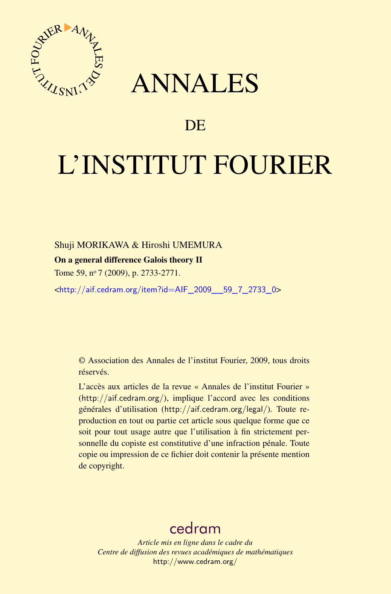

## ANNALES

## **DE**

# L'INSTITUT FOURIER

#### Shuji MORIKAWA & Hiroshi UMEMURA

#### On a general difference Galois theory II

Tome 59, nº 7 (2009), p. 2733-2771.

<[http://aif.cedram.org/item?id=AIF\\_2009\\_\\_59\\_7\\_2733\\_0](http://aif.cedram.org/item?id=AIF_2009__59_7_2733_0)>

© Association des Annales de l'institut Fourier, 2009, tous droits réservés.

L'accès aux articles de la revue « Annales de l'institut Fourier » (<http://aif.cedram.org/>), implique l'accord avec les conditions générales d'utilisation (<http://aif.cedram.org/legal/>). Toute reproduction en tout ou partie cet article sous quelque forme que ce soit pour tout usage autre que l'utilisation à fin strictement personnelle du copiste est constitutive d'une infraction pénale. Toute copie ou impression de ce fichier doit contenir la présente mention de copyright.

## [cedram](http://www.cedram.org/)

*Article mis en ligne dans le cadre du Centre de diffusion des revues académiques de mathématiques* <http://www.cedram.org/>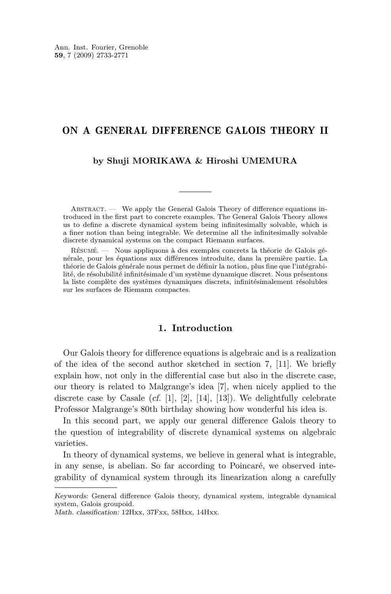#### <span id="page-1-0"></span>ON A GENERAL DIFFERENCE GALOIS THEORY II

#### **by Shuji MORIKAWA & Hiroshi UMEMURA**

ABSTRACT. — We apply the General Galois Theory of difference equations introduced in the first part to concrete examples. The General Galois Theory allows us to define a discrete dynamical system being infinitesimally solvable, which is a finer notion than being integrable. We determine all the infinitesimally solvable discrete dynamical systems on the compact Riemann surfaces.

Résumé. — Nous appliquons à des exemples concrets la théorie de Galois générale, pour les équations aux différences introduite, dans la première partie. La théorie de Galois générale nous permet de définir la notion, plus fine que l'intégrabilité, de résolubilité infinitésimale d'un système dynamique discret. Nous présentons la liste complète des systèmes dynamiques discrets, infinitésimalement résolubles sur les surfaces de Riemann compactes.

#### **1. Introduction**

Our Galois theory for difference equations is algebraic and is a realization of the idea of the second author sketched in section 7, [\[11\]](#page-38-0). We briefly explain how, not only in the differential case but also in the discrete case, our theory is related to Malgrange's idea [\[7\]](#page-38-0), when nicely applied to the discrete case by Casale (cf. [\[1\]](#page-38-0), [\[2\]](#page-38-0), [\[14\]](#page-39-0), [\[13\]](#page-39-0)). We delightfully celebrate Professor Malgrange's 80th birthday showing how wonderful his idea is.

In this second part, we apply our general difference Galois theory to the question of integrability of discrete dynamical systems on algebraic varieties.

In theory of dynamical systems, we believe in general what is integrable, in any sense, is abelian. So far according to Poincaré, we observed integrability of dynamical system through its linearization along a carefully

Keywords: General difference Galois theory, dynamical system, integrable dynamical system, Galois groupoid.

Math. classification: 12Hxx, 37Fxx, 58Hxx, 14Hxx.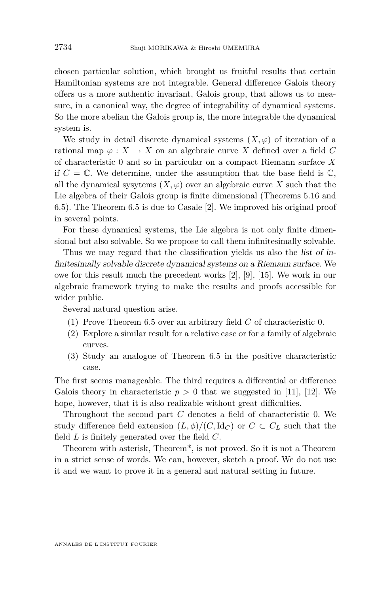chosen particular solution, which brought us fruitful results that certain Hamiltonian systems are not integrable. General difference Galois theory offers us a more authentic invariant, Galois group, that allows us to measure, in a canonical way, the degree of integrability of dynamical systems. So the more abelian the Galois group is, the more integrable the dynamical system is.

We study in detail discrete dynamical systems  $(X, \varphi)$  of iteration of a rational map  $\varphi: X \to X$  on an algebraic curve X defined over a field C of characteristic 0 and so in particular on a compact Riemann surface *X* if  $C = \mathbb{C}$ . We determine, under the assumption that the base field is  $\mathbb{C}$ , all the dynamical sysytems  $(X, \varphi)$  over an algebraic curve X such that the Lie algebra of their Galois group is finite dimensional (Theorems [5.16](#page-25-0) and [6.5\)](#page-27-0). The Theorem [6.5](#page-27-0) is due to Casale [\[2\]](#page-38-0). We improved his original proof in several points.

For these dynamical systems, the Lie algebra is not only finite dimensional but also solvable. So we propose to call them infinitesimally solvable.

Thus we may regard that the classification yields us also the list of infinitesimally solvable discrete dynamical systems on a Riemann surface. We owe for this result much the precedent works [\[2\]](#page-38-0), [\[9\]](#page-38-0), [\[15\]](#page-39-0). We work in our algebraic framework trying to make the results and proofs accessible for wider public.

Several natural question arise.

- (1) Prove Theorem [6.5](#page-27-0) over an arbitrary field *C* of characteristic 0.
- (2) Explore a similar result for a relative case or for a family of algebraic curves.
- (3) Study an analogue of Theorem [6.5](#page-27-0) in the positive characteristic case.

The first seems manageable. The third requires a differential or difference Galois theory in characteristic  $p > 0$  that we suggested in [\[11\]](#page-38-0), [\[12\]](#page-38-0). We hope, however, that it is also realizable without great difficulties.

Throughout the second part *C* denotes a field of characteristic 0. We study difference field extension  $(L, \phi)/(C, \mathrm{Id}_C)$  or  $C \subset C_L$  such that the field *L* is finitely generated over the field *C*.

Theorem with asterisk, Theorem\*, is not proved. So it is not a Theorem in a strict sense of words. We can, however, sketch a proof. We do not use it and we want to prove it in a general and natural setting in future.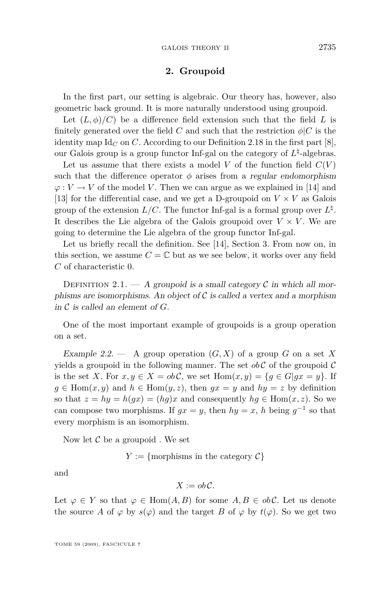#### **2. Groupoid**

<span id="page-3-0"></span>In the first part, our setting is algebraic. Our theory has, however, also geometric back ground. It is more naturally understood using groupoid.

Let  $(L, \phi)/C$  be a difference field extension such that the field *L* is finitely generated over the field *C* and such that the restriction  $\phi|C$  is the identity map  $\mathrm{Id}_C$  on C. According to our Definition 2.18 in the first part [\[8\]](#page-38-0), our Galois group is a group functor Inf-gal on the category of  $L^{\natural}$ -algebras.

Let us assume that there exists a model  $V$  of the function field  $C(V)$ such that the difference operator  $\phi$  arises from a regular endomorphism  $\varphi: V \to V$  of the model *V*. Then we can argue as we explained in [\[14\]](#page-39-0) and [\[13\]](#page-39-0) for the differential case, and we get a D-groupoid on  $V \times V$  as Galois group of the extension  $L/C$ . The functor Inf-gal is a formal group over  $L^{\natural}$ . It describes the Lie algebra of the Galois groupoid over  $V \times V$ . We are going to determine the Lie algebra of the group functor Inf-gal.

Let us briefly recall the definition. See [\[14\]](#page-39-0), Section 3. From now on, in this section, we assume  $C = \mathbb{C}$  but as we see below, it works over any field *C* of characteristic 0.

DEFINITION 2.1. — A groupoid is a small category  $\mathcal C$  in which all morphisms are isomorphisms. An object of  $\mathcal C$  is called a vertex and a morphism in *C* is called an element of *G*.

One of the most important example of groupoids is a group operation on a set.

Example 2.2.  $\longrightarrow$  A group operation  $(G, X)$  of a group *G* on a set *X* yields a groupoid in the following manner. The set  $ob\mathcal{C}$  of the groupoid  $\mathcal{C}$ is the set *X*. For  $x, y \in X = ob\mathcal{C}$ , we set  $\text{Hom}(x, y) = \{q \in G | qx = y\}$ . If  $g \in \text{Hom}(x, y)$  and  $h \in \text{Hom}(y, z)$ , then  $gx = y$  and  $hy = z$  by definition so that  $z = hy = h(gx) = (hg)x$  and consequently  $hg \in \text{Hom}(x, z)$ . So we can compose two morphisms. If  $gx = y$ , then  $hy = x$ , *h* being  $g^{-1}$  so that every morphism is an isomorphism.

Now let *C* be a groupoid . We set

 $Y := \{$  morphisms in the category  $C\}$ 

and

$$
X:=ob\mathcal{C}.
$$

Let  $\varphi \in Y$  so that  $\varphi \in \text{Hom}(A, B)$  for some  $A, B \in ob \mathcal{C}$ . Let us denote the source *A* of  $\varphi$  by  $s(\varphi)$  and the target *B* of  $\varphi$  by  $t(\varphi)$ . So we get two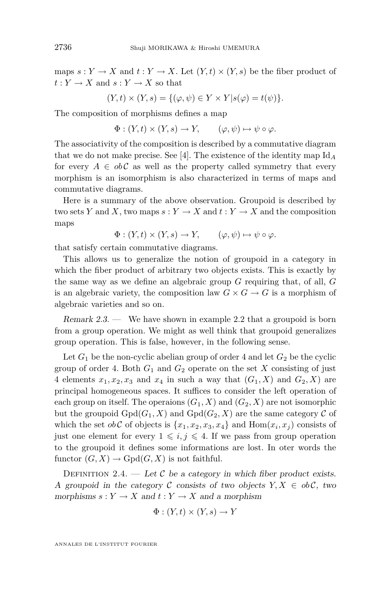maps  $s: Y \to X$  and  $t: Y \to X$ . Let  $(Y, t) \times (Y, s)$  be the fiber product of  $t: Y \to X$  and  $s: Y \to X$  so that

$$
(Y,t) \times (Y,s) = \{(\varphi, \psi) \in Y \times Y | s(\varphi) = t(\psi) \}.
$$

The composition of morphisms defines a map

$$
\Phi: (Y,t) \times (Y,s) \to Y, \qquad (\varphi, \psi) \mapsto \psi \circ \varphi.
$$

The associativity of the composition is described by a commutative diagram that we do not make precise. See [\[4\]](#page-38-0). The existence of the identity map Id*<sup>A</sup>* for every  $A \in ob\mathcal{C}$  as well as the property called symmetry that every morphism is an isomorphism is also characterized in terms of maps and commutative diagrams.

Here is a summary of the above observation. Groupoid is described by two sets *Y* and *X*, two maps  $s: Y \to X$  and  $t: Y \to X$  and the composition maps

$$
\Phi: (Y,t) \times (Y,s) \to Y, \qquad (\varphi, \psi) \mapsto \psi \circ \varphi.
$$

that satisfy certain commutative diagrams.

This allows us to generalize the notion of groupoid in a category in which the fiber product of arbitrary two objects exists. This is exactly by the same way as we define an algebraic group *G* requiring that, of all, *G* is an algebraic variety, the composition law  $G \times G \to G$  is a morphism of algebraic varieties and so on.

Remark  $2.3.$  — We have shown in example [2.2](#page-3-0) that a groupoid is born from a group operation. We might as well think that groupoid generalizes group operation. This is false, however, in the following sense.

Let  $G_1$  be the non-cyclic abelian group of order 4 and let  $G_2$  be the cyclic group of order 4. Both  $G_1$  and  $G_2$  operate on the set  $X$  consisting of just 4 elements  $x_1, x_2, x_3$  and  $x_4$  in such a way that  $(G_1, X)$  and  $G_2, X$  are principal homogeneous spaces. It suffices to consider the left operation of each group on itself. The operaions  $(G_1, X)$  and  $(G_2, X)$  are not isomorphic but the groupoid  $Gpd(G_1, X)$  and  $Gpd(G_2, X)$  are the same category  $\mathcal C$  of which the set  $ob\mathcal{C}$  of objects is  $\{x_1, x_2, x_3, x_4\}$  and  $\text{Hom}(x_i, x_j)$  consists of just one element for every  $1 \leq i, j \leq 4$ . If we pass from group operation to the groupoid it defines some informations are lost. In oter words the functor  $(G, X) \to \text{Gpd}(G, X)$  is not faithful.

DEFINITION 2.4. — Let  $C$  be a category in which fiber product exists. A groupoid in the category  $\mathcal C$  consists of two objects  $Y, X \in ob\mathcal C$ , two morphisms  $s: Y \to X$  and  $t: Y \to X$  and a morphism

$$
\Phi: (Y, t) \times (Y, s) \to Y
$$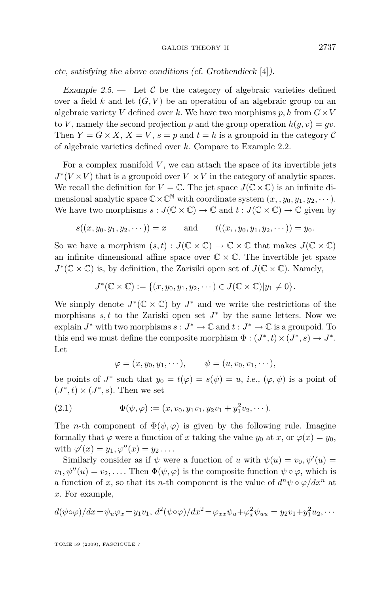#### GALOIS THEORY II 2737

<span id="page-5-0"></span>etc, satisfying the above conditions (cf. Grothendieck [\[4\]](#page-38-0)).

Example 2.5.  $\qquad$  Let C be the category of algebraic varieties defined over a field  $k$  and let  $(G, V)$  be an operation of an algebraic group on an algebraic variety *V* defined over *k*. We have two morphisms *p*, *h* from  $G \times V$ to *V*, namely the second projection *p* and the group operation  $h(q, v) = qv$ . Then  $Y = G \times X$ ,  $X = V$ ,  $s = p$  and  $t = h$  is a groupoid in the category C of algebraic varieties defined over *k*. Compare to Example [2.2.](#page-3-0)

For a complex manifold  $V$ , we can attach the space of its invertible jets  $J^*(V \times V)$  that is a groupoid over  $V \times V$  in the category of analytic spaces. We recall the definition for  $V = \mathbb{C}$ . The jet space  $J(\mathbb{C} \times \mathbb{C})$  is an infinite dimensional analytic space  $\mathbb{C}\times\mathbb{C}^{\mathbb{N}}$  with coordinate system  $(x, y_0, y_1, y_2, \cdots)$ . We have two morphisms  $s: J(\mathbb{C} \times \mathbb{C}) \to \mathbb{C}$  and  $t: J(\mathbb{C} \times \mathbb{C}) \to \mathbb{C}$  given by

$$
s((x, y_0, y_1, y_2, \cdots)) = x
$$
 and  $t((x, y_0, y_1, y_2, \cdots)) = y_0.$ 

So we have a morphism  $(s, t) : J(\mathbb{C} \times \mathbb{C}) \to \mathbb{C} \times \mathbb{C}$  that makes  $J(\mathbb{C} \times \mathbb{C})$ an infinite dimensional affine space over  $\mathbb{C} \times \mathbb{C}$ . The invertible jet space  $J^*(\mathbb{C} \times \mathbb{C})$  is, by definition, the Zarisiki open set of  $J(\mathbb{C} \times \mathbb{C})$ . Namely,

$$
J^*(\mathbb{C}\times\mathbb{C}):=\{(x,y_0,y_1,y_2,\cdots)\in J(\mathbb{C}\times\mathbb{C})|y_1\neq 0\}.
$$

We simply denote  $J^*(\mathbb{C} \times \mathbb{C})$  by  $J^*$  and we write the restrictions of the morphisms  $s, t$  to the Zariski open set  $J^*$  by the same letters. Now we explain  $J^*$  with two morphisms  $s : J^* \to \mathbb{C}$  and  $t : J^* \to \mathbb{C}$  is a groupoid. To this end we must define the composite morphism  $\Phi : (J^*, t) \times (J^*, s) \to J^*$ . Let

$$
\varphi=(x,y_0,y_1,\cdots),\qquad \psi=(u,v_0,v_1,\cdots),
$$

be points of  $J^*$  such that  $y_0 = t(\varphi) = s(\psi) = u$ , i.e.,  $(\varphi, \psi)$  is a point of  $(J^*, t) \times (J^*, s)$ . Then we set

(2.1) 
$$
\Phi(\psi, \varphi) := (x, v_0, y_1v_1, y_2v_1 + y_1^2v_2, \cdots).
$$

The *n*-th component of  $\Phi(\psi, \varphi)$  is given by the following rule. Imagine formally that  $\varphi$  were a function of *x* taking the value  $y_0$  at *x*, or  $\varphi(x) = y_0$ , with  $\varphi'(x) = y_1, \varphi''(x) = y_2 \dots$ 

Similarly consider as if  $\psi$  were a function of *u* with  $\psi(u) = v_0, \psi'(u) =$  $v_1, \psi''(u) = v_2, \ldots$  . Then  $\Phi(\psi, \varphi)$  is the composite function  $\psi \circ \varphi$ , which is a function of *x*, so that its *n*-th component is the value of  $d^n \psi \circ \varphi/dx^n$  at *x*. For example,

$$
d(\psi \circ \varphi)/dx = \psi_u \varphi_x = y_1 v_1, d^2(\psi \circ \varphi)/dx^2 = \varphi_{xx}\psi_u + \varphi_x^2 \psi_{uu} = y_2 v_1 + y_1^2 u_2, \cdots
$$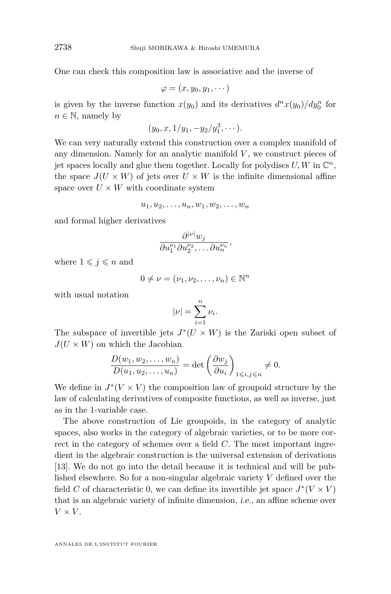One can check this composition law is associative and the inverse of

$$
\varphi=(x,y_0,y_1,\cdots)
$$

is given by the inverse function  $x(y_0)$  and its derivatives  $d^n x(y_0) / dy_0^n$  for  $n \in \mathbb{N}$ , namely by

$$
(y_0, x, 1/y_1, -y_2/y_1^3, \cdots).
$$

We can very naturally extend this construction over a complex manifold of any dimension. Namely for an analytic manifold  $V$ , we construct pieces of jet spaces locally and glue them together. Locally for polydiscs  $U, W$  in  $\mathbb{C}^n$ , the space  $J(U \times W)$  of jets over  $U \times W$  is the infinite dimensional affine space over  $U \times W$  with coordinate system

$$
u_1, u_2, \ldots, u_n, w_1, w_2, \ldots, w_n
$$

and formal higher derivatives

$$
\frac{\partial^{|\nu|} w_j}{\partial u_1^{\nu_1} \partial u_2^{\nu_2}, \dots \partial u_n^{\nu_n}},
$$

where  $1 \leqslant j \leqslant n$  and

$$
0 \neq \nu = (\nu_1, \nu_2, \dots, \nu_n) \in \mathbb{N}^n
$$

with usual notation

$$
|\nu| = \sum_{i=1}^n \nu_i.
$$

The subspace of invertible jets  $J^*(U \times W)$  is the Zariski open subset of  $J(U \times W)$  on which the Jacobian

$$
\frac{D(w_1, w_2, \dots, w_n)}{D(u_1, u_2, \dots, u_n)} = \det \left(\frac{\partial w_j}{\partial u_i}\right)_{1 \leqslant i, j \leqslant n} \neq 0.
$$

We define in  $J^*(V \times V)$  the composition law of groupoid structure by the law of calculating derivatives of composite functions, as well as inverse, just as in the 1-variable case.

The above construction of Lie groupoids, in the category of analytic spaces, also works in the category of algebraic varieties, or to be more correct in the category of schemes over a field *C*. The most important ingredient in the algebraic construction is the universal extension of derivations [\[13\]](#page-39-0). We do not go into the detail because it is technical and will be published elsewhere. So for a non-singular algebraic variety *V* defined over the field *C* of characteristic 0, we can define its invertible jet space  $J^*(V \times V)$ that is an algebraic variety of infinite dimension, i.e., an affine scheme over  $V \times V$ .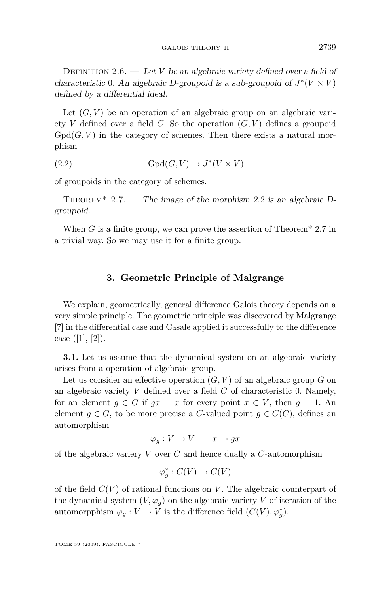<span id="page-7-0"></span>DEFINITION 2.6. — Let *V* be an algebraic variety defined over a field of characteristic 0. An algebraic D-groupoid is a sub-groupoid of  $J^*(V \times V)$ defined by a differential ideal.

Let  $(G, V)$  be an operation of an algebraic group on an algebraic variety *V* defined over a field *C*. So the operation  $(G, V)$  defines a groupoid  $Gpd(G, V)$  in the category of schemes. Then there exists a natural morphism

(2.2) 
$$
\text{Gpd}(G, V) \to J^*(V \times V)
$$

of groupoids in the category of schemes.

THEOREM<sup>\*</sup> 2.7. — The image of the morphism 2.2 is an algebraic Dgroupoid.

When *G* is a finite group, we can prove the assertion of Theorem<sup>\*</sup> 2.7 in a trivial way. So we may use it for a finite group.

#### **3. Geometric Principle of Malgrange**

We explain, geometrically, general difference Galois theory depends on a very simple principle. The geometric principle was discovered by Malgrange [\[7\]](#page-38-0) in the differential case and Casale applied it successfully to the difference case  $([1], [2])$  $([1], [2])$  $([1], [2])$  $([1], [2])$  $([1], [2])$ .

**3.1.** Let us assume that the dynamical system on an algebraic variety arises from a operation of algebraic group.

Let us consider an effective operation  $(G, V)$  of an algebraic group  $G$  on an algebraic variety *V* defined over a field *C* of characteristic 0. Namely, for an element  $g \in G$  if  $gx = x$  for every point  $x \in V$ , then  $g = 1$ . An element  $g \in G$ , to be more precise a *C*-valued point  $g \in G(C)$ , defines an automorphism

$$
\varphi_g: V \to V \qquad x \mapsto gx
$$

of the algebraic variery *V* over *C* and hence dually a *C*-automorphism

$$
\varphi_g^*: C(V) \to C(V)
$$

of the field *C*(*V* ) of rational functions on *V* . The algebraic counterpart of the dynamical system  $(V, \varphi_q)$  on the algebraic variety *V* of iteration of the automorpphism  $\varphi_g: V \to V$  is the difference field  $(C(V), \varphi_g^*)$ .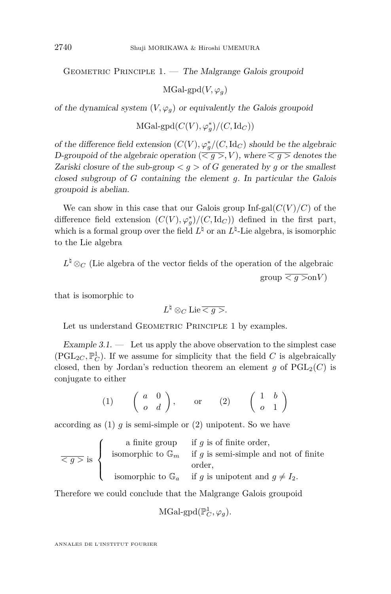GEOMETRIC PRINCIPLE  $1.$  — The Malgrange Galois groupoid

 $MGal\text{-}gpd(V, \varphi_q)$ 

of the dynamical system  $(V, \varphi_q)$  or equivalently the Galois groupoid

 $\mathrm{MGal}\text{-}\mathrm{gpd}(C(V),\varphi_g^*)/(C,\mathrm{Id}_C))$ 

of the difference field extension  $(C(V), \varphi_g^*/(C, \mathrm{Id}_C)$  should be the algebraic D-groupoid of the algebraic operation  $(\overline{\langle g \rangle}, V)$ , where  $\overline{\langle g \rangle}$  denotes the Zariski closure of the sub-group  $\lt q >$  of G generated by q or the smallest closed subgroup of *G* containing the element *g*. In particular the Galois groupoid is abelian.

We can show in this case that our Galois group  $Inf-gal(C(V)/C)$  of the difference field extension  $(C(V), \varphi_g^*)/(C, \mathrm{Id}_C)$  defined in the first part, which is a formal group over the field  $L^{\natural}$  or an  $L^{\natural}$ -Lie algebra, is isomorphic to the Lie algebra

 $L^{\natural}$  ⊗<sub>*C*</sub> (Lie algebra of the vector fields of the operation of the algebraic  $\text{group} \leq q > \text{on} V$ 

that is isomorphic to

 $L^{\natural} \otimes_C \text{Lie} \overline{< g >}.$ 

Let us understand GEOMETRIC PRINCIPLE [1](#page-7-0) by examples.

Example  $3.1.$  — Let us apply the above observation to the simplest case (PGL<sub>2C</sub>,  $\mathbb{P}^1_C$ ). If we assume for simplicity that the field *C* is algebraically closed, then by Jordan's reduction theorem an element *g* of  $PGL_2(C)$  is conjugate to either

$$
(1) \qquad \begin{pmatrix} a & 0 \\ o & d \end{pmatrix}, \qquad \text{or} \qquad (2) \qquad \begin{pmatrix} 1 & b \\ o & 1 \end{pmatrix}
$$

according as (1) *g* is semi-simple or (2) unipotent. So we have

$$
\overline{\langle g \rangle} \text{ is } \begin{cases} \begin{array}{c} \text{ a finite group} \\ \text{ isomorphic to } \mathbb{G}_m \end{array} & \text{if } g \text{ is of finite order,} \\ \text{ isomorphic to } \mathbb{G}_n \end{array} \\ \text{ isomorphic to } \mathbb{G}_a \end{cases} \text{ if } g \text{ is unipotent and } g \neq I_2.
$$

Therefore we could conclude that the Malgrange Galois groupoid

 $\text{MGal-gpd}(\mathbb{P}^1_C, \varphi_g).$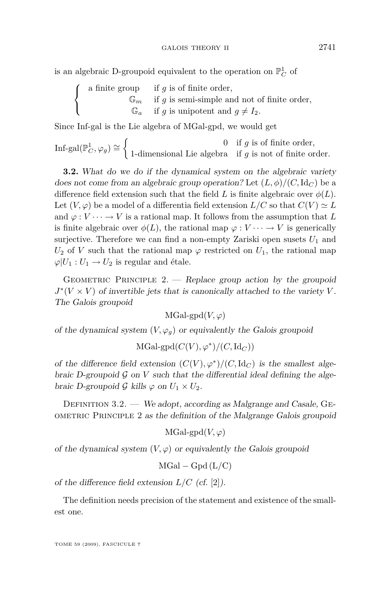<span id="page-9-0"></span>is an algebraic D-groupoid equivalent to the operation on  $\mathbb{P}^1_C$  of

$$
\left\{\begin{array}{cl} \text{ a finite group } & \text{ if } g \text{ is of finite order,} \\ & \mathbb{G}_m & \text{ if } g \text{ is semi-simple and not of finite order,} \\ & \mathbb{G}_a & \text{ if } g \text{ is unipotent and } g \neq I_2. \end{array}\right.
$$

Since Inf-gal is the Lie algebra of MGal-gpd, we would get

Inf-gal( $\mathbb{P}^1_C$ ,  $\varphi_g$ )  $\cong$   $\begin{cases} 0 & \text{if } g \text{ is of finite order,} \\ 1 \text{-dimensional Lie algebras} & \text{if } g \text{ is not of finite or.} \end{cases}$ 1-dimensional Lie algebra if *g* is not of finite order.

**3.2.** What do we do if the dynamical system on the algebraic variety does not come from an algebraic group operation? Let  $(L, \phi)/(C, \text{Id}_C)$  be a difference field extension such that the field *L* is finite algebraic over  $\phi(L)$ . Let  $(V, \varphi)$  be a model of a differentia field extension  $L/C$  so that  $C(V) \simeq L$ and  $\varphi: V \cdots \to V$  is a rational map. It follows from the assumption that L is finite algebraic over  $\phi(L)$ , the rational map  $\varphi: V \cdots \to V$  is generically surjective. Therefore we can find a non-empty Zariski open susets  $U_1$  and  $U_2$  of *V* such that the rational map  $\varphi$  restricted on  $U_1$ , the rational map  $\varphi|U_1:U_1\to U_2$  is regular and étale.

GEOMETRIC PRINCIPLE  $2.$  - Replace group action by the groupoid  $J^*(V \times V)$  of invertible jets that is canonically attached to the variety *V*. The Galois groupoid

 $MGal\text{-}\mathrm{gpd}(V, \varphi)$ 

of the dynamical system  $(V, \varphi_g)$  or equivalently the Galois groupoid

 $\mathrm{MGal}\text{-}\mathrm{gpd}(C(V),\varphi^*)/(C,\mathrm{Id}_C))$ 

of the difference field extension  $(C(V), \varphi^*)/(C, \mathrm{Id}_C)$  is the smallest algebraic D-groupoid  $\mathcal G$  on  $V$  such that the differential ideal defining the algebraic D-groupoid  $\mathcal{G}$  kills  $\varphi$  on  $U_1 \times U_2$ .

DEFINITION 3.2. — We adopt, according as Malgrange and Casale, GEometric Principle 2 as the definition of the Malgrange Galois groupoid

 $MGal\text{-}gpd(V,\varphi)$ 

of the dynamical system  $(V, \varphi)$  or equivalently the Galois groupoid

MGal *−* Gpd (L*/*C)

of the difference field extension *L/C* (cf. [\[2\]](#page-38-0)).

The definition needs precision of the statement and existence of the smallest one.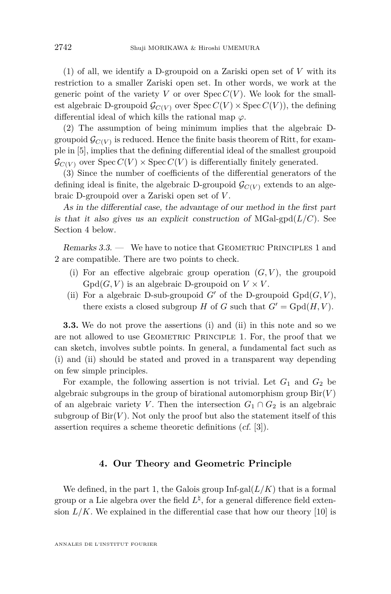<span id="page-10-0"></span>(1) of all, we identify a D-groupoid on a Zariski open set of *V* with its restriction to a smaller Zariski open set. In other words, we work at the generic point of the variety *V* or over  $Spec C(V)$ . We look for the smallest algebraic D-groupoid  $\mathcal{G}_{C(V)}$  over  $\text{Spec } C(V) \times \text{Spec } C(V)$ , the defining differential ideal of which kills the rational map *ϕ*.

(2) The assumption of being minimum implies that the algebraic Dgroupoid  $\mathcal{G}_{C(V)}$  is reduced. Hence the finite basis theorem of Ritt, for example in [\[5\]](#page-38-0), implies that the defining differential ideal of the smallest groupoid  $\mathcal{G}_{C(V)}$  over  $Spec C(V) \times Spec C(V)$  is differentially finitely generated.

(3) Since the number of coefficients of the differential generators of the defining ideal is finite, the algebraic D-groupoid  $\mathcal{G}_{C(V)}$  extends to an algebraic D-groupoid over a Zariski open set of *V* .

As in the differential case, the advantage of our method in the first part is that it also gives us an explicit construction of  $MGal-gpd(L/C)$ . See Section 4 below.

Remarks 3.3. — We have to notice that GEOMETRIC PRINCIPLES [1](#page-7-0) and [2](#page-9-0) are compatible. There are two points to check.

- (i) For an effective algebraic group operation  $(G, V)$ , the groupoid  $Gpd(G, V)$  is an algebraic D-groupoid on  $V \times V$ .
- (ii) For a algebraic D-sub-groupoid  $G'$  of the D-groupoid  $Gpd(G, V)$ , there exists a closed subgroup *H* of *G* such that  $G' = \text{Gpd}(H, V)$ .

**3.3.** We do not prove the assertions (i) and (ii) in this note and so we are not allowed to use GEOMETRIC PRINCIPLE [1](#page-7-0). For, the proof that we can sketch, involves subtle points. In general, a fundamental fact such as (i) and (ii) should be stated and proved in a transparent way depending on few simple principles.

For example, the following assertion is not trivial. Let  $G_1$  and  $G_2$  be algebraic subgroups in the group of birational automorphism group  $\text{Bir}(V)$ of an algebraic variety *V*. Then the intersection  $G_1 \cap G_2$  is an algebraic subgroup of  $\text{Bir}(V)$ . Not only the proof but also the statement itself of this assertion requires a scheme theoretic definitions (cf. [\[3\]](#page-38-0)).

#### **4. Our Theory and Geometric Principle**

We defined, in the part [1,](#page-1-0) the Galois group  $\text{Inf-gal}(L/K)$  that is a formal group or a Lie algebra over the field  $L^{\natural}$ , for a general difference field extension  $L/K$ . We explained in the differential case that how our theory [\[10\]](#page-38-0) is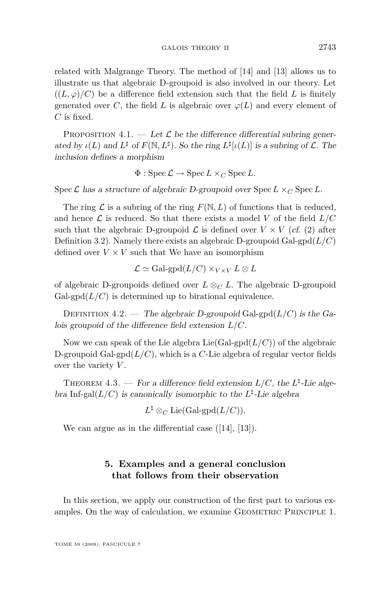related with Malgrange Theory. The method of [\[14\]](#page-39-0) and [\[13\]](#page-39-0) allows us to illustrate us that algebraic D-groupoid is also involved in our theory. Let  $((L, \varphi)/C)$  be a difference field extension such that the field L is finitely generated over *C*, the field *L* is algebraic over  $\varphi(L)$  and every element of *C* is fixed.

PROPOSITION 4.1. — Let  $\mathcal L$  be the difference differential subring generated by  $\iota(L)$  and  $L^{\sharp}$  of  $F(\mathbb{N}, L^{\sharp})$ . So the ring  $L^{\sharp}[\iota(L)]$  is a subring of  $\mathcal{L}$ . The inclusion defines a morphism

 $\Phi$ : Spec  $\mathcal{L} \to \text{Spec } L \times_C \text{Spec } L$ .

Spec  $\mathcal{L}$  has a structure of algebraic D-groupoid over Spec  $L \times_C$  Spec  $L$ .

The ring  $\mathcal L$  is a subring of the ring  $F(\mathbb N, L)$  of functions that is reduced, and hence  $\mathcal L$  is reduced. So that there exists a model *V* of the field  $L/C$ such that the algebraic D-groupoid  $\mathcal{L}$  is defined over  $V \times V$  (cf. (2) after Definition [3.2\)](#page-9-0). Namely there exists an algebraic D-groupoid Gal-gpd $(L/C)$ defined over  $V \times V$  such that We have an isomorphism

$$
\mathcal{L} \simeq \text{Gal-gpd}(L/C) \times_{V \times V} L \otimes L
$$

of algebraic D-groupoids defined over *L ⊗<sup>C</sup> L*. The algebraic D-groupoid  $Gal-gpd(L/C)$  is determined up to birational equivalence.

DEFINITION 4.2. — The algebraic D-groupoid Gal-gpd $(L/C)$  is the Galois groupoid of the difference field extension *L/C*.

Now we can speak of the Lie algebra  $Lie(Gal-gpd(L/C))$  of the algebraic D-groupoid Gal-gpd $(L/C)$ , which is a *C*-Lie algebra of regular vector fields over the variety *V* .

THEOREM 4.3. — For a difference field extension  $L/C$ , the  $L^{\natural}$ -Lie algebra Inf-gal $(L/C)$  is canonically isomorphic to the  $L^{\natural}$ -Lie algebra

$$
L^{\natural}\otimes_{C} \operatorname{Lie}(\operatorname{Gal-gpd}(L/C)).
$$

We can argue as in the differential case  $([14], [13])$  $([14], [13])$  $([14], [13])$  $([14], [13])$  $([14], [13])$ .

#### **5. Examples and a general conclusion that follows from their observation**

In this section, we apply our construction of the first part to various ex-amples. On the way of calculation, we examine GEOMETRIC PRINCIPLE [1](#page-7-0).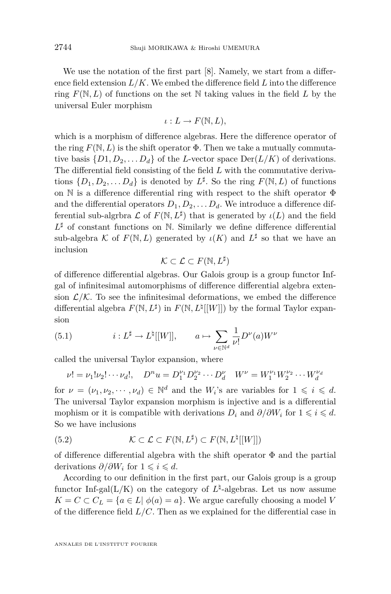<span id="page-12-0"></span>We use the notation of the first part [\[8\]](#page-38-0). Namely, we start from a difference field extension *L/K*. We embed the difference field *L* into the difference ring  $F(\mathbb{N}, L)$  of functions on the set  $\mathbb N$  taking values in the field L by the universal Euler morphism

$$
\iota: L \to F(\mathbb{N}, L),
$$

which is a morphism of difference algebras. Here the difference operator of the ring  $F(\mathbb{N}, L)$  is the shift operator  $\Phi$ . Then we take a mutually commutative basis  $\{D_1, D_2, \ldots, D_d\}$  of the *L*-vector space  $\text{Der}(L/K)$  of derivations. The differential field consisting of the field *L* with the commutative derivations  $\{D_1, D_2, \ldots, D_d\}$  is denoted by  $L^{\sharp}$ . So the ring  $F(\mathbb{N}, L)$  of functions on N is a difference differential ring with respect to the shift operator Φ and the differential operators  $D_1, D_2, \ldots, D_d$ . We introduce a difference differential sub-algrbra  $\mathcal L$  of  $F(\mathbb N, L^{\sharp})$  that is generated by  $\iota(L)$  and the field  $L^{\sharp}$  of constant functions on N. Similarly we define difference differential sub-algebra *K* of  $F(\mathbb{N}, L)$  generated by  $\iota(K)$  and  $L^{\sharp}$  so that we have an inclusion

$$
\mathcal{K} \subset \mathcal{L} \subset F(\mathbb{N}, L^\sharp)
$$

of difference differential algebras. Our Galois group is a group functor Infgal of infinitesimal automorphisms of difference differential algebra extension  $\mathcal{L}/\mathcal{K}$ . To see the infinitesimal deformations, we embed the difference differential algebra  $F(\mathbb{N}, L^{\sharp})$  in  $F(\mathbb{N}, L^{\sharp}[[W]])$  by the formal Taylor expansion

(5.1) 
$$
i: L^{\sharp} \to L^{\natural}[[W]], \qquad a \mapsto \sum_{\nu \in \mathbb{N}^d} \frac{1}{\nu!} D^{\nu}(a) W^{\nu}
$$

called the universal Taylor expansion, where

$$
\nu! = \nu_1! \nu_2! \cdots \nu_d!, \quad D^n u = D_1^{\nu_1} D_2^{\nu_2} \cdots D_d^{\nu} \quad W^{\nu} = W_1^{\nu_1} W_2^{\nu_2} \cdots W_d^{\nu_d}
$$

for  $\nu = (\nu_1, \nu_2, \dots, \nu_d) \in \mathbb{N}^d$  and the  $W_i$ 's are variables for  $1 \leq i \leq d$ . The universal Taylor expansion morphism is injective and is a differential mophism or it is compatible with derivations  $D_i$  and  $\partial/\partial W_i$  for  $1 \leq i \leq d$ . So we have inclusions

(5.2) 
$$
\mathcal{K} \subset \mathcal{L} \subset F(\mathbb{N}, L^{\sharp}) \subset F(\mathbb{N}, L^{\sharp}[[W]])
$$

of difference differential algebra with the shift operator Φ and the partial derivations  $\partial/\partial W_i$  for  $1 \leq i \leq d$ .

According to our definition in the first part, our Galois group is a group functor Inf-gal( $L/K$ ) on the category of  $L^{\natural}$ -algebras. Let us now assume  $K = C \subset C_L = \{a \in L | \phi(a) = a\}$ . We argue carefully choosing a model *V* of the difference field *L/C*. Then as we explained for the differential case in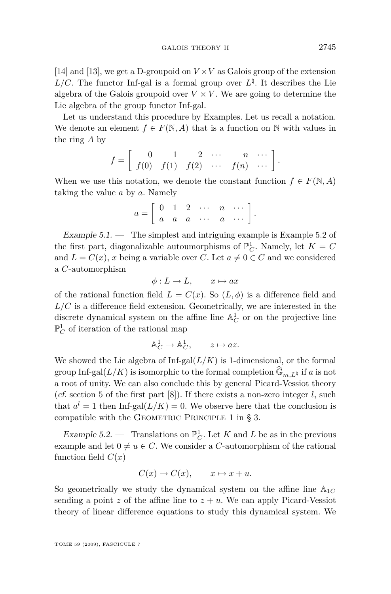<span id="page-13-0"></span>[\[14\]](#page-39-0) and [\[13\]](#page-39-0), we get a D-groupoid on *V ×V* as Galois group of the extension  $L/C$ . The functor Inf-gal is a formal group over  $L^{\natural}$ . It describes the Lie algebra of the Galois groupoid over  $V \times V$ . We are going to determine the Lie algebra of the group functor Inf-gal.

Let us understand this procedure by Examples. Let us recall a notation. We denote an element  $f \in F(\mathbb{N}, A)$  that is a function on  $\mathbb N$  with values in the ring *A* by

$$
f = \left[ \begin{array}{cccc} 0 & 1 & 2 & \cdots & n & \cdots \\ f(0) & f(1) & f(2) & \cdots & f(n) & \cdots \end{array} \right].
$$

When we use this notation, we denote the constant function  $f \in F(\mathbb{N}, A)$ taking the value *a* by *a*. Namely

$$
a=\left[\begin{array}{ccccc}0&1&2&\cdots&n&\cdots\\a&a&a&\cdots&a&\cdots\end{array}\right].
$$

Example  $5.1.$  — The simplest and intriguing example is Example  $5.2$  of the first part, diagonalizable autoumorphisms of  $\mathbb{P}^1_C$ . Namely, let  $K = C$ and  $L = C(x)$ , *x* being a variable over *C*. Let  $a \neq 0 \in C$  and we considered a *C*-automorphism

 $\phi: L \to L$ ,  $x \mapsto ax$ 

of the rational function field  $L = C(x)$ . So  $(L, \phi)$  is a difference field and  $L/C$  is a difference field extension. Geometrically, we are interested in the discrete dynamical system on the affine line  $\mathbb{A}^1_C$  or on the projective line  $\mathbb{P}^1_C$  of iteration of the rational map

$$
\mathbb{A}_C^1 \to \mathbb{A}_C^1, \qquad z \mapsto az.
$$

We showed the Lie algebra of  $\text{Inf-gal}(L/K)$  is 1-dimensional, or the formal group Inf-gal( $L/K$ ) is isomorphic to the formal completion  $\widehat{\mathbb{G}}_{m,L}\mathfrak{p}$  if *a* is not a root of unity. We can also conclude this by general Picard-Vessiot theory (cf. section 5 of the first part  $[8]$ ). If there exists a non-zero integer *l*, such that  $a^l = 1$  then Inf-gal $(L/K) = 0$ . We observe here that the conclusion is compatible with the GEOMETRIC PRINCIPLE 1 in  $\S$  [3.](#page-7-0)

Example 5.2. — Translations on  $\mathbb{P}^1_C$ . Let *K* and *L* be as in the previous example and let  $0 \neq u \in C$ . We consider a *C*-automorphism of the rational function field  $C(x)$ 

$$
C(x) \to C(x), \qquad x \mapsto x + u.
$$

So geometrically we study the dynamical system on the affine line A1*<sup>C</sup>* sending a point  $z$  of the affine line to  $z + u$ . We can apply Picard-Vessiot theory of linear difference equations to study this dynamical system. We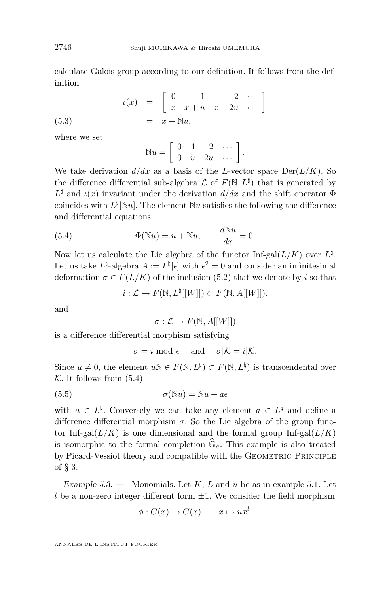<span id="page-14-0"></span>calculate Galois group according to our definition. It follows from the definition

(5.3) 
$$
u(x) = \begin{bmatrix} 0 & 1 & 2 & \cdots \\ x & x + u & x + 2u & \cdots \end{bmatrix}
$$

$$
= x + \mathbb{N}u,
$$

where we set

$$
\mathbb{N}u = \left[ \begin{array}{cccc} 0 & 1 & 2 & \cdots \\ 0 & u & 2u & \cdots \end{array} \right].
$$

We take derivation  $d/dx$  as a basis of the *L*-vector space  $Der(L/K)$ . So the difference differential sub-algebra  $\mathcal L$  of  $F(\mathbb N,L^{\sharp})$  that is generated by  $L^{\sharp}$  and  $\iota(x)$  invariant under the derivation  $d/dx$  and the shift operator  $\Phi$ coincides with  $L^{\sharp}[\mathbb{N}u]$ . The element  $\mathbb{N}u$  satisfies the following the difference and differential equations

(5.4) 
$$
\Phi(\mathbb{N}u) = u + \mathbb{N}u, \qquad \frac{d\mathbb{N}u}{dx} = 0.
$$

Now let us calculate the Lie algebra of the functor  $\text{Inf-gal}(L/K)$  over  $L^{\natural}$ . Let us take  $L^{\natural}$ -algebra  $A := L^{\natural}[\epsilon]$  with  $\epsilon^2 = 0$  and consider an infinitesimal deformation  $\sigma \in F(L/K)$  of the inclusion [\(5.2\)](#page-12-0) that we denote by *i* so that

 $i: \mathcal{L} \to F(\mathbb{N}, L^{\natural}[[W]]) \subset F(\mathbb{N}, A[[W]]).$ 

and

 $\sigma : \mathcal{L} \to F(\mathbb{N}, A[[W]])$ 

is a difference differential morphism satisfying

$$
\sigma = i \mod \epsilon \quad \text{and} \quad \sigma|\mathcal{K} = i|\mathcal{K}.
$$

Since  $u \neq 0$ , the element  $u \mathbb{N} \in F(\mathbb{N}, L^{\sharp}) \subset F(\mathbb{N}, L^{\sharp})$  is transcendental over  $K$ . It follows from  $(5.4)$ 

(5.5) 
$$
\sigma(\mathbb{N}u) = \mathbb{N}u + a\epsilon
$$

with  $a \in L^{\natural}$ . Conversely we can take any element  $a \in L^{\natural}$  and define a difference differential morphism  $\sigma$ . So the Lie algebra of the group functor Inf-gal $(L/K)$  is one dimensional and the formal group Inf-gal $(L/K)$ is isomorphic to the formal completion  $\widehat{\mathbb{G}}_a$ . This example is also treated by Picard-Vessiot theory and compatible with the GEOMETRIC PRINCIPLE of § [3.](#page-7-0)

Example 5.3. — Monomials. Let *K*, *L* and *u* be as in example [5.1.](#page-13-0) Let *l* be a non-zero integer different form *±*1. We consider the field morphism

$$
\phi: C(x) \to C(x) \qquad x \mapsto ux^l.
$$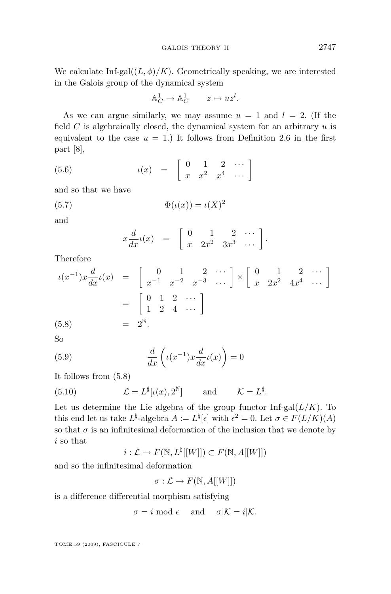<span id="page-15-0"></span>We calculate Inf-gal $((L, \phi)/K)$ . Geometrically speaking, we are interested in the Galois group of the dynamical system

$$
\mathbb{A}_C^1 \to \mathbb{A}_C^1 \qquad z \mapsto uz^l.
$$

As we can argue similarly, we may assume  $u = 1$  and  $l = 2$ . (If the field *C* is algebraically closed, the dynamical system for an arbitrary *u* is equivalent to the case  $u = 1$ .) It follows from Definition 2.6 in the first part [\[8\]](#page-38-0),

$$
(5.6) \qquad \qquad \iota(x) = \left[ \begin{array}{cccc} 0 & 1 & 2 & \cdots \\ x & x^2 & x^4 & \cdots \end{array} \right]
$$

and so that we have

$$
(5.7) \qquad \qquad \Phi(\iota(x)) = \iota(X)^2
$$

and

$$
x\frac{d}{dx}\iota(x) = \begin{bmatrix} 0 & 1 & 2 & \cdots \\ x & 2x^2 & 3x^3 & \cdots \end{bmatrix}.
$$

Therefore

$$
\iota(x^{-1})x\frac{d}{dx}\iota(x) = \begin{bmatrix} 0 & 1 & 2 & \cdots \\ x^{-1} & x^{-2} & x^{-3} & \cdots \end{bmatrix} \times \begin{bmatrix} 0 & 1 & 2 & \cdots \\ x & 2x^2 & 4x^4 & \cdots \end{bmatrix}
$$

$$
= \begin{bmatrix} 0 & 1 & 2 & \cdots \\ 1 & 2 & 4 & \cdots \end{bmatrix}
$$

$$
(5.8) = 2^{\mathbb{N}}.
$$

So

(5.9) 
$$
\frac{d}{dx}\left(\iota(x^{-1})x\frac{d}{dx}\iota(x)\right) = 0
$$

It follows from (5.8)

(5.10) 
$$
\mathcal{L} = L^{\sharp}[\iota(x), 2^{\mathbb{N}}] \quad \text{and} \quad \mathcal{K} = L^{\sharp}.
$$

Let us determine the Lie algebra of the group functor  $\text{Inf-gal}(L/K)$ . To this end let us take  $L^{\sharp}$ -algebra  $A := L^{\sharp}[\epsilon]$  with  $\epsilon^2 = 0$ . Let  $\sigma \in F(L/K)(A)$ so that  $\sigma$  is an infinitesimal deformation of the inclusion that we denote by *i* so that

 $i: \mathcal{L} \to F(\mathbb{N}, L^\natural[[W]]) \subset F(\mathbb{N}, A[[W]])$ 

and so the infinitesimal deformation

 $\sigma : \mathcal{L} \to F(\mathbb{N}, A[[W]])$ 

is a difference differential morphism satisfying

 $\sigma = i \mod \epsilon$  and  $\sigma |K = i|\mathcal{K}$ .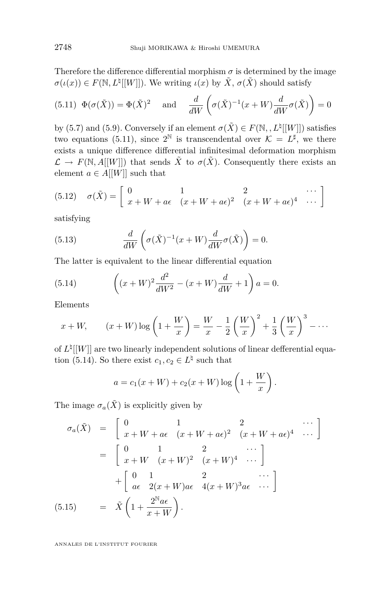<span id="page-16-0"></span>Therefore the difference differential morphism  $\sigma$  is determined by the image  $\sigma(\iota(x)) \in F(\mathbb{N}, L^{\natural}[[W]])$ . We writing  $\iota(x)$  by  $\tilde{X}, \sigma(\tilde{X})$  should satisfy

(5.11) 
$$
\Phi(\sigma(\tilde{X})) = \Phi(\tilde{X})^2
$$
 and  $\frac{d}{dW} \left( \sigma(\tilde{X})^{-1}(x+W) \frac{d}{dW} \sigma(\tilde{X}) \right) = 0$ 

by [\(5.7\)](#page-15-0) and [\(5.9\)](#page-15-0). Conversely if an element  $\sigma(\tilde{X}) \in F(\mathbb{N}, L^{\natural}[[W]])$  satisfies two equations (5.11), since  $2^{\mathbb{N}}$  is transcendental over  $\mathcal{K} = L^{\sharp}$ , we there exists a unique difference differential infinitesimal deformation morphism  $\mathcal{L} \to F(\mathbb{N}, A[[W]])$  that sends  $\tilde{X}$  to  $\sigma(\tilde{X})$ . Consequently there exists an element  $a \in A[[W]]$  such that

(5.12) 
$$
\sigma(\tilde{X}) = \begin{bmatrix} 0 & 1 & 2 & \cdots \\ x + W + a\epsilon & (x + W + a\epsilon)^2 & (x + W + a\epsilon)^4 & \cdots \end{bmatrix}
$$

satisfying

(5.13) 
$$
\frac{d}{dW}\left(\sigma(\tilde{X})^{-1}(x+W)\frac{d}{dW}\sigma(\tilde{X})\right) = 0.
$$

The latter is equivalent to the linear differential equation

(5.14) 
$$
\left( (x+W)^2 \frac{d^2}{dW^2} - (x+W)\frac{d}{dW} + 1 \right) a = 0.
$$

Elements

$$
x + W, \qquad (x + W) \log\left(1 + \frac{W}{x}\right) = \frac{W}{x} - \frac{1}{2}\left(\frac{W}{x}\right)^2 + \frac{1}{3}\left(\frac{W}{x}\right)^3 - \dots
$$

of  $L^{\natural}[[W]]$  are two linearly independent solutions of linear defferential equation (5.14). So there exist  $c_1, c_2 \in L^{\natural}$  such that

$$
a = c_1(x + W) + c_2(x + W) \log \left(1 + \frac{W}{x}\right).
$$

The image  $\sigma_a(\tilde{X})$  is explicitly given by

$$
\sigma_a(\tilde{X}) = \begin{bmatrix} 0 & 1 & 2 & \cdots \\ x + W + a\epsilon & (x + W + a\epsilon)^2 & (x + W + a\epsilon)^4 & \cdots \end{bmatrix}
$$

$$
= \begin{bmatrix} 0 & 1 & 2 & \cdots \\ x + W & (x + W)^2 & (x + W)^4 & \cdots \end{bmatrix}
$$

$$
+ \begin{bmatrix} 0 & 1 & 2 & \cdots \\ a\epsilon & 2(x + W)a\epsilon & 4(x + W)^3 a\epsilon & \cdots \end{bmatrix}
$$

$$
(5.15) = \tilde{X} \left(1 + \frac{2^{\mathbb{N}} a\epsilon}{x + W}\right).
$$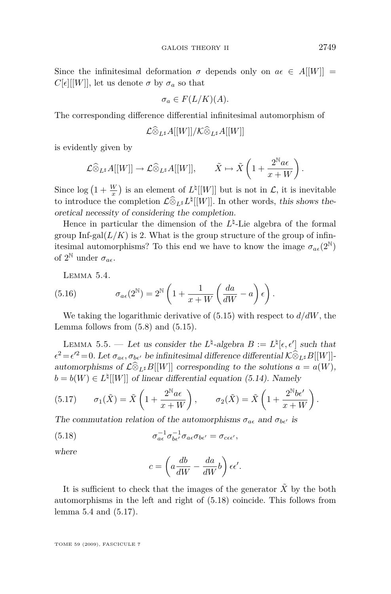Since the infinitesimal deformation  $\sigma$  depends only on  $a\epsilon \in A[[W]] =$  $C[\epsilon][[W]]$ , let us denote  $\sigma$  by  $\sigma_a$  so that

$$
\sigma_a \in F(L/K)(A).
$$

The corresponding difference differential infinitesimal automorphism of

$$
\mathcal{L}\widehat{\otimes}_{L^\sharp}A[[W]]/\mathcal{K}\widehat{\otimes}_{L^\sharp}A[[W]]
$$

is evidently given by

$$
\mathcal{L}\widehat{\otimes}_{L^{\sharp}}A[[W]]\to \mathcal{L}\widehat{\otimes}_{L^{\sharp}}A[[W]],\qquad \tilde{X}\mapsto \tilde{X}\left(1+\frac{2^{\mathbb{N}}a\epsilon}{x+W}\right).
$$

Since  $\log (1 + \frac{W}{x})$  is an element of  $L^{\natural}[[W]]$  but is not in *L*, it is inevitable to introduce the completion  $\mathcal{L}\hat{\otimes}_{L^{\sharp}} L^{\sharp}[[W]]$ . In other words, this shows theoretical necessity of considering the completion.

Hence in particular the dimension of the  $L^{\natural}$ -Lie algebra of the formal group Inf-gal $(L/K)$  is 2. What is the group structure of the group of infinitesimal automorphisms? To this end we have to know the image  $\sigma_{ae}(2^{\mathbb{N}})$ of  $2^{\mathbb{N}}$  under  $\sigma_{a\epsilon}$ .

Lemma 5.4.

(5.16) 
$$
\sigma_{a\epsilon}(2^{\mathbb{N}}) = 2^{\mathbb{N}} \left( 1 + \frac{1}{x+W} \left( \frac{da}{dW} - a \right) \epsilon \right).
$$

We taking the logarithmic derivative of [\(5.15\)](#page-16-0) with respect to *d/dW*, the Lemma follows from  $(5.8)$  and  $(5.15)$ .

LEMMA 5.5. — Let us consider the  $L^{\natural}$ -algebra  $B := L^{\natural}[\epsilon, \epsilon']$  such that  $\epsilon^2 = \epsilon'^2 = 0$ . Let  $\sigma_{a\epsilon}, \sigma_{b\epsilon'}$  be infinitesimal difference differential  $\mathcal{K} \widehat{\otimes}_{L^\sharp} B[[W]]$ automorphisms of  $\mathcal{L}\widehat{\otimes}_{L^{\sharp}}B[[W]]$  corresponding to the solutions  $a = a(W)$ ,  $b = b(W) \in L^{\natural}[[W]]$  of linear differential equation [\(5.14\)](#page-16-0). Namely

(5.17) 
$$
\sigma_1(\tilde{X}) = \tilde{X}\left(1 + \frac{2^{\mathbb{N}}a\epsilon}{x+W}\right), \qquad \sigma_2(\tilde{X}) = \tilde{X}\left(1 + \frac{2^{\mathbb{N}}b\epsilon'}{x+W}\right).
$$

The commutation relation of the automorphisms  $\sigma_{a\epsilon}$  and  $\sigma_{b\epsilon'}$  is

(5.18) 
$$
\sigma_{a\epsilon}^{-1} \sigma_{b\epsilon'}^{-1} \sigma_{a\epsilon} \sigma_{b\epsilon'} = \sigma_{c\epsilon\epsilon'},
$$

where

$$
c = \left(a\frac{db}{dW} - \frac{da}{dW}b\right)\epsilon\epsilon'.
$$

It is sufficient to check that the images of the generator  $X$  by the both automorphisms in the left and right of (5.18) coincide. This follows from lemma 5.4 and (5.17).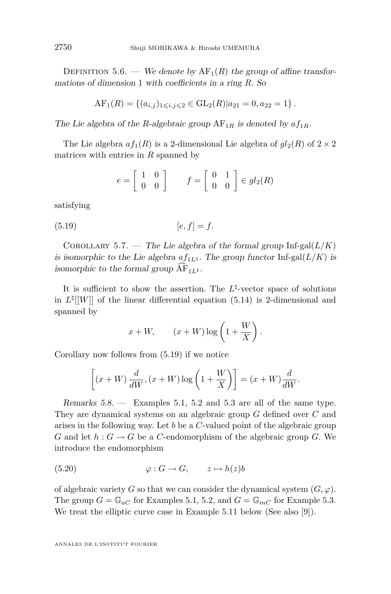DEFINITION 5.6. — We denote by  $AF_1(R)$  the group of affine transformations of dimension 1 with coefficients in a ring *R*. So

$$
AF_1(R) = \{(a_{i,j})_{1 \leq i,j \leq 2} \in GL_2(R) | a_{21} = 0, a_{22} = 1 \}.
$$

The Lie algebra of the *R*-algebraic group  $AF_{1R}$  is denoted by  $af_{1R}$ .

The Lie algebra  $af_1(R)$  is a 2-dimensional Lie algebra of  $gl_2(R)$  of  $2 \times 2$ matrices with entries in *R* spanned by

$$
e = \left[ \begin{array}{cc} 1 & 0 \\ 0 & 0 \end{array} \right] \qquad f = \left[ \begin{array}{cc} 0 & 1 \\ 0 & 0 \end{array} \right] \in gl_2(R)
$$

satisfying

$$
(5.19) \qquad [e, f] = f.
$$

COROLLARY 5.7. — The Lie algebra of the formal group  $\text{Inf-gal}(L/K)$ is isomorphic to the Lie algebra  $af_{1L}\$ . The group functor Inf-gal( $L/K$ ) is isomorphic to the formal group  $\overline{AF}_{1L}\$ .

It is sufficient to show the assertion. The  $L^{\natural}$ -vector space of solutions in  $L^{\natural}[[W]]$  of the linear differential equation [\(5.14\)](#page-16-0) is 2-dimensional and spanned by

$$
x + W
$$
,  $(x + W) \log \left(1 + \frac{W}{X}\right)$ .

Corollary now follows from (5.19) if we notice

$$
\[x+W)\,\frac{d}{dW}, (x+W)\log\left(1+\frac{W}{X}\right)\] = (x+W)\frac{d}{dW}.
$$

Remarks 5.8. — Examples [5.1,](#page-13-0) [5.2](#page-13-0) and [5.3](#page-14-0) are all of the same type. They are dynamical systems on an algebraic group *G* defined over *C* and arises in the following way. Let *b* be a *C*-valued point of the algebraic group *G* and let  $h: G \to G$  be a *C*-endomorphism of the algebraic group *G*. We introduce the endomorphism

$$
(5.20) \qquad \qquad \varphi: G \to G, \qquad z \mapsto h(z)b
$$

of algebraic variety *G* so that we can consider the dynamical system  $(G, \varphi)$ . The group  $G = \mathbb{G}_{aC}$  for Examples [5.1,](#page-13-0) [5.2,](#page-13-0) and  $G = \mathbb{G}_{mC}$  for Example [5.3.](#page-14-0) We treat the elliptic curve case in Example [5.11](#page-23-0) below (See also [\[9\]](#page-38-0)).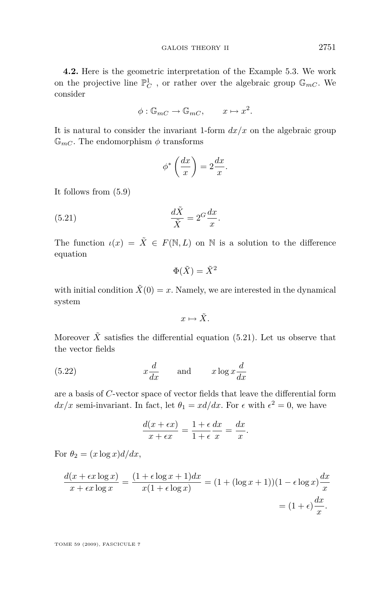<span id="page-19-0"></span>**4.2.** Here is the geometric interpretation of the Example [5.3.](#page-14-0) We work on the projective line  $\mathbb{P}^1_C$  , or rather over the algebraic group  $\mathbb{G}_{mC}$ . We consider

$$
\phi: \mathbb{G}_{mC} \to \mathbb{G}_{mC}, \qquad x \mapsto x^2.
$$

It is natural to consider the invariant 1-form  $dx/x$  on the algebraic group  $\mathbb{G}_{mC}$ . The endomorphism  $\phi$  transforms

$$
\phi^* \left( \frac{dx}{x} \right) = 2 \frac{dx}{x}.
$$

It follows from [\(5.9\)](#page-15-0)

(5.21) 
$$
\frac{d\tilde{X}}{\tilde{X}} = 2^G \frac{dx}{x}.
$$

The function  $\iota(x) = \tilde{X} \in F(\mathbb{N}, L)$  on  $\mathbb N$  is a solution to the difference equation

$$
\Phi(\tilde{X}) = \tilde{X}^2
$$

with initial condition  $\tilde{X}(0) = x$ . Namely, we are interested in the dynamical system

 $x \mapsto \tilde{X}$ .

Moreover  $\tilde{X}$  satisfies the differential equation (5.21). Let us observe that the vector fields

(5.22) 
$$
x\frac{d}{dx}
$$
 and  $x\log x\frac{d}{dx}$ 

are a basis of *C*-vector space of vector fields that leave the differential form  $dx/x$  semi-invariant. In fact, let  $\theta_1 = xd/dx$ . For  $\epsilon$  with  $\epsilon^2 = 0$ , we have

$$
\frac{d(x+\epsilon x)}{x+\epsilon x} = \frac{1+\epsilon}{1+\epsilon}\frac{dx}{x} = \frac{dx}{x}.
$$

For  $\theta_2 = (x \log x) d/dx$ ,

$$
\frac{d(x + \epsilon x \log x)}{x + \epsilon x \log x} = \frac{(1 + \epsilon \log x + 1)dx}{x(1 + \epsilon \log x)} = (1 + (\log x + 1))(1 - \epsilon \log x)\frac{dx}{x}
$$

$$
= (1 + \epsilon)\frac{dx}{x}.
$$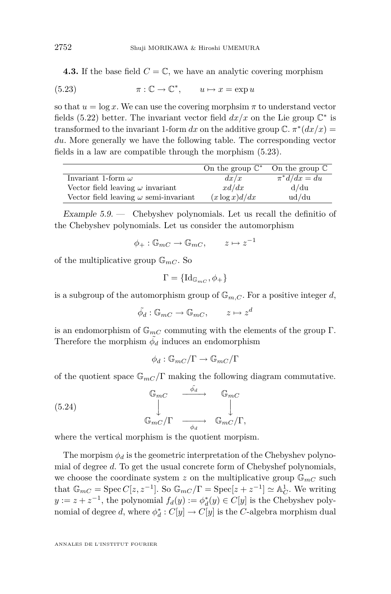<span id="page-20-0"></span>**4.3.** If the base field  $C = \mathbb{C}$ , we have an analytic covering morphism

(5.23) 
$$
\pi : \mathbb{C} \to \mathbb{C}^*, \qquad u \mapsto x = \exp u
$$

so that  $u = \log x$ . We can use the covering morphsim  $\pi$  to understand vector fields [\(5.22\)](#page-19-0) better. The invariant vector field  $dx/x$  on the Lie group  $\mathbb{C}^*$  is transformed to the invariant 1-form  $dx$  on the additive group  $\mathbb{C}$ .  $\pi^*(dx/x) =$ *du*. More generally we have the following table. The corresponding vector fields in a law are compatible through the morphism (5.23).

|                                              | On the group $\mathbb{C}^*$ | On the group $\mathbb C$ |
|----------------------------------------------|-----------------------------|--------------------------|
| Invariant 1-form $\omega$                    | dx/x                        | $\pi^*d/dx = du$         |
| Vector field leaving $\omega$ invariant      | x d/dx                      | d/du                     |
| Vector field leaving $\omega$ semi-invariant | $(x \log x) d/dx$           | ud/du                    |

Example  $5.9.$  — Chebyshev polynomials. Let us recall the definitio of the Chebyshev polynomials. Let us consider the automorphism

$$
\phi_+ : \mathbb{G}_{mC} \to \mathbb{G}_{mC}, \qquad z \mapsto z^{-1}
$$

of the multiplicative group  $\mathbb{G}_{mC}$ . So

$$
\Gamma = \{\mathrm{Id}_{\mathbb{G}_{mC}}, \phi_+\}
$$

is a subgroup of the automorphism group of  $\mathbb{G}_{m,C}$ . For a positive integer *d*,

$$
\tilde{\phi}_d : \mathbb{G}_{mC} \to \mathbb{G}_{mC}, \qquad z \mapsto z^d
$$

is an endomorphism of  $\mathbb{G}_{mC}$  commuting with the elements of the group  $\Gamma$ . Therefore the morphism  $\tilde{\phi_d}$  induces an endomorphism

 $\phi_d : \mathbb{G}_{mC}/\Gamma \to \mathbb{G}_{mC}/\Gamma$ 

of the quotient space  $\mathbb{G}_{mC}/\Gamma$  making the following diagram commutative.

(5.24) 
$$
\begin{array}{ccc}\n\mathbb{G}_{mC} & \xrightarrow{\tilde{\phi}_{d}} & \mathbb{G}_{mC} \\
\downarrow & & \downarrow \\
\mathbb{G}_{mC}/\Gamma & \xrightarrow{\phi_{d}} & \mathbb{G}_{mC}/\Gamma,\n\end{array}
$$

where the vertical morphism is the quotient morpism.

The morpism  $\phi_d$  is the geometric interpretation of the Chebyshev polynomial of degree *d*. To get the usual concrete form of Chebyshef polynomials, we choose the coordinate system  $z$  on the multiplicative group  $\mathbb{G}_{mC}$  such that  $\mathbb{G}_{mC} = \text{Spec } C[z, z^{-1}]$ . So  $\mathbb{G}_{mC}/\Gamma = \text{Spec}[z + z^{-1}] \simeq \mathbb{A}_{C}^{1}$ . We writing *y* :=  $z + z^{-1}$ , the polynomial  $f_d(y) := \phi_d^*(y) \in C[y]$  is the Chebyshev polynomial of degree *d*, where  $\phi_d^*: C[y] \to C[y]$  is the *C*-algebra morphism dual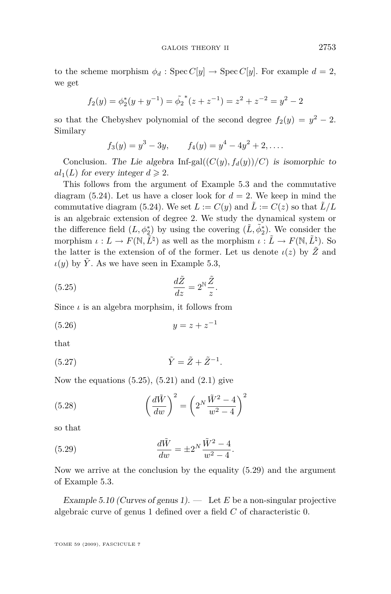to the scheme morphism  $\phi_d$ : Spec  $C[y] \rightarrow \text{Spec } C[y]$ . For example  $d = 2$ , we get

$$
f_2(y) = \phi_2^*(y + y^{-1}) = \tilde{\phi_2}^*(z + z^{-1}) = z^2 + z^{-2} = y^2 - 2
$$

so that the Chebyshev polynomial of the second degree  $f_2(y) = y^2 - 2$ . Similary

$$
f_3(y) = y^3 - 3y
$$
,  $f_4(y) = y^4 - 4y^2 + 2$ , ...

Conclusion. The Lie algebra Inf-gal $((C(y), f_d(y))/C)$  is isomorphic to  $al_1(L)$  for every integer  $d \geqslant 2$ .

This follows from the argument of Example [5.3](#page-14-0) and the commutative diagram  $(5.24)$ . Let us have a closer look for  $d = 2$ . We keep in mind the commutative diagram [\(5.24\)](#page-20-0). We set  $L := C(y)$  and  $\tilde{L} := C(z)$  so that  $\tilde{L}/L$ is an algebraic extension of degree 2. We study the dynamical system or the difference field  $(L, \phi_2^*)$  by using the covering  $(\tilde{L}, \tilde{\phi}_2^*)$ . We consider the morphism  $\iota: L \to F(\mathbb{N}, \tilde{L}^{\natural})$  as well as the morphism  $\iota: \tilde{L} \to F(\mathbb{N}, \tilde{L}^{\natural})$ . So the latter is the extension of of the former. Let us denote  $\iota(z)$  by  $\tilde{Z}$  and  $\iota(y)$  by  $\tilde{Y}$ . As we have seen in Example [5.3,](#page-14-0)

(5.25) 
$$
\frac{d\tilde{Z}}{dz} = 2^{\mathbb{N}} \frac{\tilde{Z}}{z}.
$$

Since  $\iota$  is an algebra morphsim, it follows from

$$
(5.26) \t\t y = z + z^{-1}
$$

that

$$
(5.27) \qquad \qquad \tilde{Y} = \tilde{Z} + \tilde{Z}^{-1}.
$$

Now the equations  $(5.25)$ ,  $(5.21)$  and  $(2.1)$  give

(5.28) 
$$
\left(\frac{d\tilde{W}}{dw}\right)^2 = \left(2^N \frac{\tilde{W}^2 - 4}{w^2 - 4}\right)^2
$$

so that

(5.29) 
$$
\frac{d\tilde{W}}{dw} = \pm 2^N \frac{\tilde{W}^2 - 4}{w^2 - 4}.
$$

Now we arrive at the conclusion by the equality (5.29) and the argument of Example [5.3.](#page-14-0)

Example 5.10 (Curves of genus 1). — Let *E* be a non-singular projective algebraic curve of genus 1 defined over a field *C* of characteristic 0.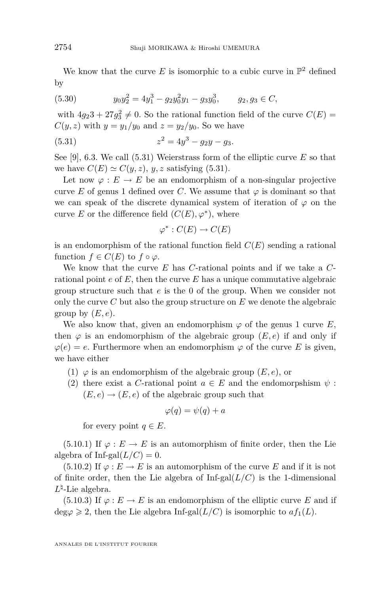<span id="page-22-0"></span>We know that the curve  $E$  is isomorphic to a cubic curve in  $\mathbb{P}^2$  defined by

(5.30) 
$$
y_0 y_2^2 = 4y_1^3 - g_2 y_0^2 y_1 - g_3 y_0^3, \qquad g_2, g_3 \in C,
$$

with  $4g_23 + 27g_3^2 \neq 0$ . So the rational function field of the curve  $C(E)$  =  $C(y, z)$  with  $y = y_1/y_0$  and  $z = y_2/y_0$ . So we have

(5.31) 
$$
z^2 = 4y^3 - g_2y - g_3.
$$

See [\[9\]](#page-38-0), 6.3. We call (5.31) Weierstrass form of the elliptic curve *E* so that we have  $C(E) \simeq C(y, z)$ , *y*, *z* satisfying (5.31).

Let now  $\varphi : E \to E$  be an endomorphism of a non-singular projective curve *E* of genus 1 defined over *C*. We assume that  $\varphi$  is dominant so that we can speak of the discrete dynamical system of iteration of  $\varphi$  on the curve *E* or the difference field  $(C(E), \varphi^*)$ , where

$$
\varphi^*: C(E) \to C(E)
$$

is an endomorphism of the rational function field  $C(E)$  sending a rational function  $f \in C(E)$  to  $f \circ \varphi$ .

We know that the curve *E* has *C*-rational points and if we take a *C*rational point *e* of *E*, then the curve *E* has a unique commutative algebraic group structure such that *e* is the 0 of the group. When we consider not only the curve *C* but also the group structure on *E* we denote the algebraic group by  $(E, e)$ .

We also know that, given an endomorphism  $\varphi$  of the genus 1 curve *E*, then  $\varphi$  is an endomorphism of the algebraic group  $(E, e)$  if and only if  $\varphi(e) = e$ . Furthermore when an endomorphism  $\varphi$  of the curve *E* is given, we have either

- (1)  $\varphi$  is an endomorphism of the algebraic group  $(E, e)$ , or
- (2) there exist a *C*-rational point  $a \in E$  and the endomorpshism  $\psi$ :  $(E, e) \rightarrow (E, e)$  of the algebraic group such that

$$
\varphi(q) = \psi(q) + a
$$

for every point  $q \in E$ .

(5.10.1) If  $\varphi : E \to E$  is an automorphism of finite order, then the Lie algebra of Inf-gal $(L/C) = 0$ .

(5.10.2) If  $\varphi : E \to E$  is an automorphism of the curve *E* and if it is not of finite order, then the Lie algebra of  $Inf-gal(L/C)$  is the 1-dimensional  $L^{\natural}$ -Lie algebra.

(5.10.3) If  $\varphi : E \to E$  is an endomorphism of the elliptic curve *E* and if deg $\varphi \geq 2$ , then the Lie algebra Inf-gal(*L*/*C*) is isomorphic to  $af_1(L)$ .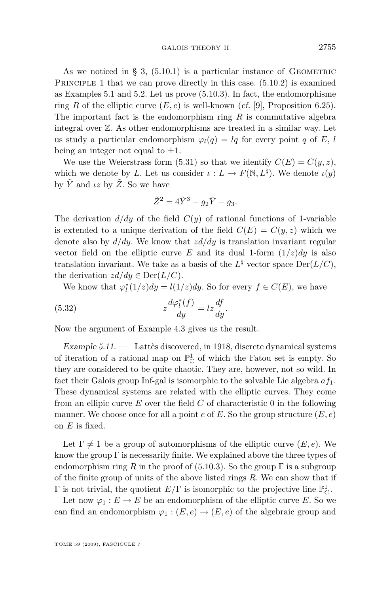<span id="page-23-0"></span>As we noticed in § [3,](#page-7-0)  $(5.10.1)$  is a particular instance of GEOMETRIC PRINCIPLE 1 that we can prove directly in this case.  $(5.10.2)$  is examined as Examples [5.1](#page-13-0) and [5.2.](#page-13-0) Let us prove (5.10.3). In fact, the endomorphisme ring *R* of the elliptic curve  $(E, e)$  is well-known (*cf.* [\[9\]](#page-38-0), Proposition 6.25). The important fact is the endomorphism ring *R* is commutative algebra integral over Z. As other endomorphisms are treated in a similar way. Let us study a particular endomorphism  $\varphi_l(q) = lq$  for every point *q* of *E*, *l* being an integer not equal to *±*1.

We use the Weierstrass form [\(5.31\)](#page-22-0) so that we identify  $C(E) = C(y, z)$ , which we denote by *L*. Let us consider  $\iota : L \to F(\mathbb{N}, L^{\natural})$ . We denote  $\iota(y)$ by  $\tilde{Y}$  and  $\iota z$  by  $\tilde{Z}$ . So we have

$$
\tilde{Z}^2 = 4\tilde{Y}^3 - g_2\tilde{Y} - g_3.
$$

The derivation  $d/dy$  of the field  $C(y)$  of rational functions of 1-variable is extended to a unique derivation of the field  $C(E) = C(y, z)$  which we denote also by *d/dy*. We know that *zd/dy* is translation invariant regular vector field on the elliptic curve *E* and its dual 1-form  $(1/z)dy$  is also translation invariant. We take as a basis of the  $L^{\natural}$  vector space  $Der(L/C)$ , the derivation  $zd/dy \in \text{Der}(L/C)$ .

We know that  $\varphi_l^*(1/z)dy = l(1/z)dy$ . So for every  $f \in C(E)$ , we have

(5.32) 
$$
z \frac{d\varphi_l^*(f)}{dy} = l z \frac{df}{dy}.
$$

Now the argument of Example 4.3 gives us the result.

Example  $5.11.$  — Lattès discovered, in 1918, discrete dynamical systems of iteration of a rational map on  $\mathbb{P}^1_{\mathbb{C}}$  of which the Fatou set is empty. So they are considered to be quite chaotic. They are, however, not so wild. In fact their Galois group Inf-gal is isomorphic to the solvable Lie algebra *af*1. These dynamical systems are related with the elliptic curves. They come from an ellipic curve *E* over the field *C* of characteristic 0 in the following manner. We choose once for all a point *e* of *E*. So the group structure (*E, e*) on *E* is fixed.

Let  $\Gamma \neq 1$  be a group of automorphisms of the elliptic curve  $(E, e)$ . We know the group  $\Gamma$  is necessarily finite. We explained above the three types of endomorphism ring *R* in the proof of (5.10.3). So the group  $\Gamma$  is a subgroup of the finite group of units of the above listed rings *R*. We can show that if  $\Gamma$  is not trivial, the quotient  $E/\Gamma$  is isomorphic to the projective line  $\mathbb{P}^1_C$ .

Let now  $\varphi_1 : E \to E$  be an endomorphism of the elliptic curve *E*. So we can find an endomorphism  $\varphi_1 : (E, e) \to (E, e)$  of the algebraic group and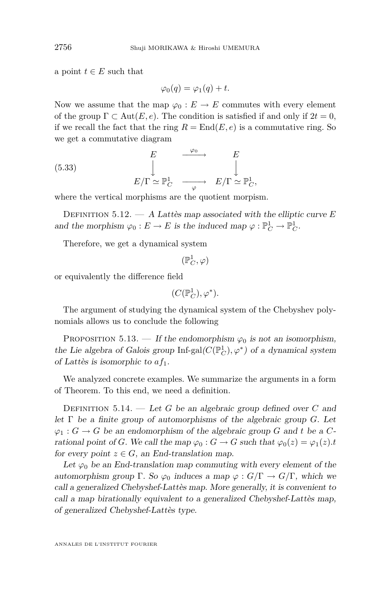a point  $t \in E$  such that

$$
\varphi_0(q) = \varphi_1(q) + t.
$$

Now we assume that the map  $\varphi_0 : E \to E$  commutes with every element of the group  $\Gamma \subset \text{Aut}(E, e)$ . The condition is satisfied if and only if  $2t = 0$ , if we recall the fact that the ring  $R = \text{End}(E, e)$  is a commutative ring. So we get a commutative diagram

(5.33) 
$$
E \qquad \xrightarrow{\varphi_0} E \qquad E
$$

$$
E/\Gamma \simeq \mathbb{P}_C^1 \qquad \xrightarrow{\varphi} E/\Gamma \simeq \mathbb{P}_C^1,
$$

where the vertical morphisms are the quotient morpism.

Definition 5.12. — A Lattès map associated with the elliptic curve *E* and the morphism  $\varphi_0 : E \to E$  is the induced map  $\varphi : \mathbb{P}^1_C \to \mathbb{P}^1_C$ .

Therefore, we get a dynamical system

 $(\mathbb{P}^1_C,\varphi)$ 

or equivalently the difference field

$$
(C(\mathbb{P}^1_C),\varphi^*).
$$

The argument of studying the dynamical system of the Chebyshev polynomials allows us to conclude the following

PROPOSITION 5.13. — If the endomorphism  $\varphi_0$  is not an isomorphism, the Lie algebra of Galois group  $\mathrm{Inf}\text{-}\mathrm{gal}(C(\mathbb{P}_C^1),\varphi^*)$  of a dynamical system of Lattès is isomorphic to *af*1.

We analyzed concrete examples. We summarize the arguments in a form of Theorem. To this end, we need a definition.

DEFINITION 5.14. — Let *G* be an algebraic group defined over *C* and let Γ be a finite group of automorphisms of the algebraic group *G*. Let  $\varphi_1: G \to G$  be an endomorphism of the algebraic group *G* and *t* be a *C*rational point of *G*. We call the map  $\varphi_0 : G \to G$  such that  $\varphi_0(z) = \varphi_1(z)$ .t for every point  $z \in G$ , an End-translation map.

Let  $\varphi_0$  be an End-translation map commuting with every element of the automorphism group  $\Gamma$ . So  $\varphi_0$  induces a map  $\varphi$  :  $G/\Gamma \to G/\Gamma$ , which we call a generalized Chebyshef-Lattès map. More generally, it is convenient to call a map birationally equivalent to a generalized Chebyshef-Lattès map, of generalized Chebyshef-Lattès type.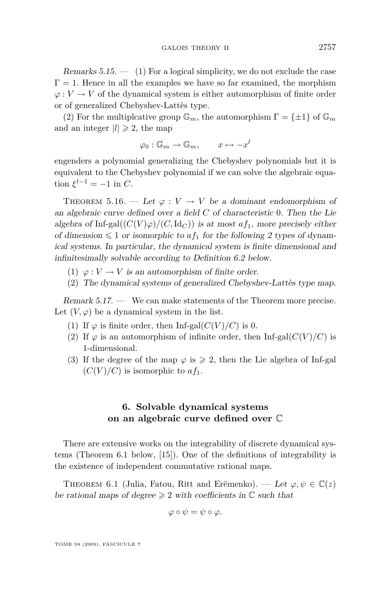<span id="page-25-0"></span>Remarks  $5.15.$  — (1) For a logical simplicity, we do not exclude the case  $\Gamma = 1$ . Hence in all the examples we have so far examined, the morphism  $\varphi: V \to V$  of the dynamical system is either automorphism of finite order or of generalized Chebyshev-Lattès type.

(2) For the multiplcative group  $\mathbb{G}_m$ , the automorphism  $\Gamma = {\pm 1}$  of  $\mathbb{G}_m$ and an integer  $|l| \geq 2$ , the map

 $\varphi_0 : \mathbb{G}_m \to \mathbb{G}_m, \qquad x \mapsto -x^l$ 

engenders a polynomial generalizing the Chebyshev polynomials but it is equivalent to the Chebyshev polynomial if we can solve the algebraic equa- $\operatorname{tion} \xi^{l-1} = -1$  in *C*.

THEOREM 5.16. — Let  $\varphi: V \to V$  be a dominant endomorphism of an algebraic curve defined over a field *C* of characteristic 0. Then the Lie algebra of Inf-gal $((C(V)\varphi)/(C,\mathrm{Id}_C))$  is at most  $af_1$ , more precisely either of dimension  $\leq 1$  or isomorphic to  $af_1$  for the following 2 types of dynamical systems. In particular, the dynamical system is finite dimensional and infinitesimally solvable according to Definition [6.2](#page-26-0) below.

- (1)  $\varphi: V \to V$  is an automorphism of finite order.
- (2) The dynamical systems of generalized Chebyshev-Lattès type map.

Remark 5.17. — We can make statements of the Theorem more precise. Let  $(V, \varphi)$  be a dynamical system in the list.

- (1) If  $\varphi$  is finite order, then Inf-gal $(C(V)/C)$  is 0.
- (2) If  $\varphi$  is an automorphism of infinite order, then Inf-gal( $C(V)/C$ ) is 1-dimensional.
- (3) If the degree of the map  $\varphi$  is  $\geq 2$ , then the Lie algebra of Inf-gal  $(C(V)/C)$  is isomorphic to  $af_1$ .

#### **6. Solvable dynamical systems on an algebraic curve defined over** C

There are extensive works on the integrability of discrete dynamical systems (Theorem 6.1 below, [\[15\]](#page-39-0)). One of the definitions of integrability is the existence of independent commutative rational maps.

THEOREM 6.1 (Julia, Fatou, Ritt and Erëmenko). — Let  $\varphi, \psi \in \mathbb{C}(z)$ be rational maps of degree  $\geq 2$  with coefficients in  $\mathbb C$  such that

$$
\varphi\circ\psi=\psi\circ\varphi.
$$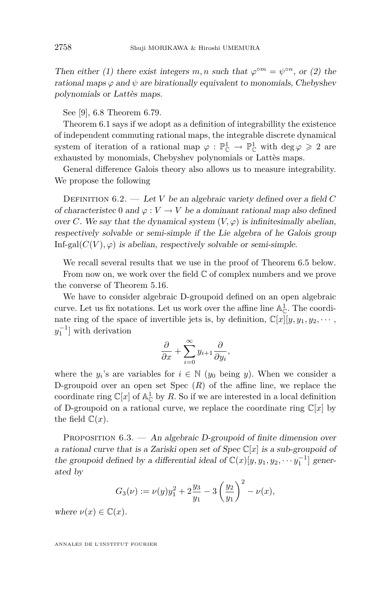<span id="page-26-0"></span>Then either (1) there exist integers *m*, *n* such that  $\varphi^{\circ m} = \psi^{\circ n}$ , or (2) the rational maps  $\varphi$  and  $\psi$  are birationally equivalent to monomials, Chebyshev polynomials or Lattès maps.

See [\[9\]](#page-38-0), 6.8 Theorem 6.79.

Theorem [6.1](#page-25-0) says if we adopt as a definition of integrabillity the existence of independent commuting rational maps, the integrable discrete dynamical system of iteration of a rational map  $\varphi : \mathbb{P}^1_{\mathbb{C}} \to \mathbb{P}^1_{\mathbb{C}}$  with  $\deg \varphi \geq 2$  are exhausted by monomials, Chebyshev polynomials or Lattès maps.

General difference Galois theory also allows us to measure integrability. We propose the following

DEFINITION  $6.2.$  — Let *V* be an algebraic variety defined over a field *C* of characteristec 0 and  $\varphi : V \to V$  be a dominant rational map also defined over *C*. We say that the dynamical system  $(V, \varphi)$  is infinitesimally abelian, respectively solvable or semi-simple if the Lie algebra of he Galois group Inf-gal $(C(V), \varphi)$  is abelian, respectively solvable or semi-simple.

We recall several results that we use in the proof of Theorem [6.5](#page-27-0) below.

From now on, we work over the field  $\mathbb C$  of complex numbers and we prove the converse of Theorem [5.16.](#page-25-0)

We have to consider algebraic D-groupoid defined on an open algebraic curve. Let us fix notations. Let us work over the affine line  $\mathbb{A}^1_{\mathbb{C}}$ . The coordinate ring of the space of invertible jets is, by definition,  $\mathbb{C}[x][y, y_1, y_2, \cdots,$  $y_1^{-1}$  with derivation

$$
\frac{\partial}{\partial x} + \sum_{i=0}^{\infty} y_{i+1} \frac{\partial}{\partial y_i},
$$

where the  $y_i$ 's are variables for  $i \in \mathbb{N}$  ( $y_0$  being  $y$ ). When we consider a D-groupoid over an open set Spec (*R*) of the affine line, we replace the coordinate ring  $\mathbb{C}[x]$  of  $\mathbb{A}_{\mathbb{C}}^1$  by R. So if we are interested in a local definition of D-groupoid on a rational curve, we replace the coordinate ring  $\mathbb{C}[x]$  by the field  $\mathbb{C}(x)$ .

PROPOSITION  $6.3.$  — An algebraic D-groupoid of finite dimension over a rational curve that is a Zariski open set of Spec C[*x*] is a sub-groupoid of the groupoid defined by a differential ideal of  $\mathbb{C}(x)[y, y_1, y_2, \cdots y_1^{-1}]$  generated by

$$
G_3(\nu) := \nu(y)y_1^2 + 2\frac{y_3}{y_1} - 3\left(\frac{y_2}{y_1}\right)^2 - \nu(x),
$$

where  $\nu(x) \in \mathbb{C}(x)$ .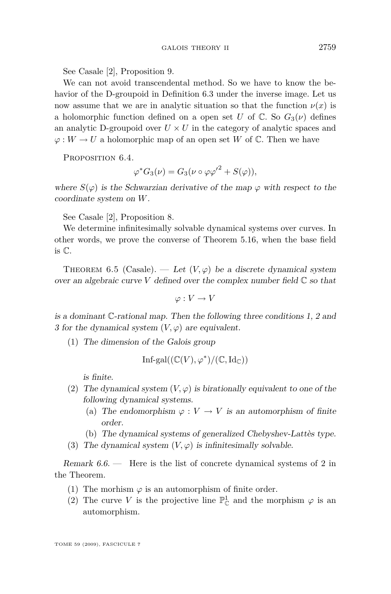<span id="page-27-0"></span>See Casale [\[2\]](#page-38-0), Proposition 9.

We can not avoid transcendental method. So we have to know the behavior of the D-groupoid in Definition [6.3](#page-26-0) under the inverse image. Let us now assume that we are in analytic situation so that the function  $\nu(x)$  is a holomorphic function defined on a open set *U* of  $\mathbb{C}$ . So  $G_3(\nu)$  defines an analytic D-groupoid over  $U \times U$  in the category of analytic spaces and  $\varphi: W \to U$  a holomorphic map of an open set *W* of  $\mathbb{C}$ . Then we have

PROPOSITION 6.4.

$$
\varphi^* G_3(\nu) = G_3(\nu \circ \varphi {\varphi'}^2 + S(\varphi)),
$$

where  $S(\varphi)$  is the Schwarzian derivative of the map  $\varphi$  with respect to the coordinate system on *W*.

See Casale [\[2\]](#page-38-0), Proposition 8.

We determine infinitesimally solvable dynamical systems over curves. In other words, we prove the converse of Theorem [5.16,](#page-25-0) when the base field is C.

THEOREM 6.5 (Casale). — Let  $(V, \varphi)$  be a discrete dynamical system over an algebraic curve  $V$  defined over the complex number field  $\mathbb C$  so that

$$
\varphi: V \to V
$$

is a dominant C-rational map. Then the following three conditions 1, 2 and 3 for the dynamical system  $(V, \varphi)$  are equivalent.

(1) The dimension of the Galois group

$$
Inf\text{-}\mathrm{gal}((\mathbb{C}(V),\varphi^*)/(\mathbb{C},\mathrm{Id}_{\mathbb{C}}))
$$

is finite.

- (2) The dynamical system  $(V, \varphi)$  is birationally equivalent to one of the following dynamical systems.
	- (a) The endomorphism  $\varphi : V \to V$  is an automorphism of finite order.
	- (b) The dynamical systems of generalized Chebyshev-Lattès type.
- (3) The dynamical system  $(V, \varphi)$  is infinitesimally solvable.

Remark 6.6. — Here is the list of concrete dynamical systems of 2 in the Theorem.

- (1) The morhism  $\varphi$  is an automorphism of finite order.
- (2) The curve *V* is the projective line  $\mathbb{P}^1_{\mathbb{C}}$  and the morphism  $\varphi$  is an automorphism.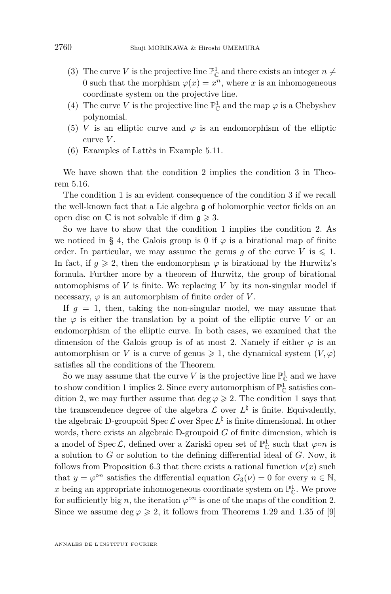- (3) The curve *V* is the projective line  $\mathbb{P}^1_{\mathbb{C}}$  and there exists an integer  $n \neq$ 0 such that the morphism  $\varphi(x) = x^n$ , where *x* is an inhomogeneous coordinate system on the projective line.
- (4) The curve *V* is the projective line  $\mathbb{P}^1_{\mathbb{C}}$  and the map  $\varphi$  is a Chebyshev polynomial.
- (5) *V* is an elliptic curve and  $\varphi$  is an endomorphism of the elliptic curve *V* .
- (6) Examples of Lattès in Example [5.11.](#page-23-0)

We have shown that the condition 2 implies the condition 3 in Theorem [5.16.](#page-25-0)

The condition 1 is an evident consequence of the condition 3 if we recall the well-known fact that a Lie algebra g of holomorphic vector fields on an open disc on  $\mathbb C$  is not solvable if dim  $\mathfrak{g} \geqslant 3$ .

So we have to show that the condition 1 implies the condition 2. As we noticed in § [4,](#page-10-0) the Galois group is 0 if  $\varphi$  is a birational map of finite order. In particular, we may assume the genus *g* of the curve *V* is  $\leq 1$ . In fact, if  $q \ge 2$ , then the endomorphsm  $\varphi$  is birational by the Hurwitz's formula. Further more by a theorem of Hurwitz, the group of birational automophisms of *V* is finite. We replacing *V* by its non-singular model if necessary,  $\varphi$  is an automorphism of finite order of *V*.

If  $g = 1$ , then, taking the non-singular model, we may assume that the  $\varphi$  is either the translation by a point of the elliptic curve *V* or an endomorphism of the elliptic curve. In both cases, we examined that the dimension of the Galois group is of at most 2. Namely if either  $\varphi$  is an automorphism or *V* is a curve of genus  $\geq 1$ , the dynamical system  $(V, \varphi)$ satisfies all the conditions of the Theorem.

So we may assume that the curve *V* is the projective line  $\mathbb{P}^1_{\mathbb{C}}$  and we have to show condition 1 implies 2. Since every automorphism of  $\mathbb{P}^1_{\mathbb{C}}$  satisfies condition 2, we may further assume that  $\deg \varphi \geq 2$ . The condition 1 says that the transcendence degree of the algebra  $\mathcal L$  over  $L^{\natural}$  is finite. Equivalently, the algebraic D-groupoid Spec  $\mathcal L$  over Spec  $L^\natural$  is finite dimensional. In other words, there exists an algebraic D-groupoid *G* of finite dimension, which is a model of Spec  $\mathcal{L}$ , defined over a Zariski open set of  $\mathbb{P}^1_{\mathbb{C}}$  such that  $\varphi \circ n$  is a solution to *G* or solution to the defining differential ideal of *G*. Now, it follows from Proposition [6.3](#page-26-0) that there exists a rational function  $\nu(x)$  such that  $y = \varphi^{\circ n}$  satisfies the differential equation  $G_3(\nu) = 0$  for every  $n \in \mathbb{N}$ , x being an appropriate inhomogeneous coordinate system on  $\mathbb{P}^1_{\mathbb{C}}$ . We prove for sufficiently big *n*, the iteration  $\varphi^{on}$  is one of the maps of the condition 2. Since we assume deg  $\varphi \geq 2$ , it follows from Theorems 1.29 and 1.35 of [\[9\]](#page-38-0)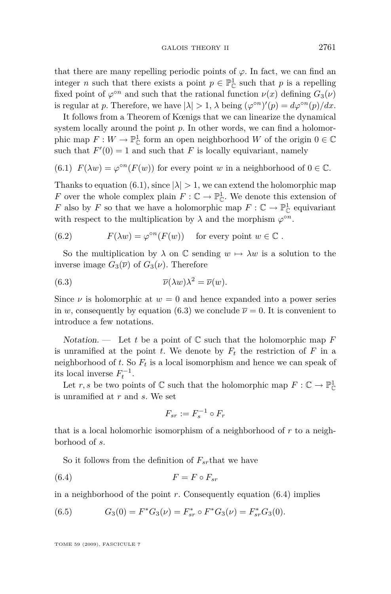<span id="page-29-0"></span>that there are many repelling periodic points of  $\varphi$ . In fact, we can find an integer *n* such that there exists a point  $p \in \mathbb{P}^1_{\mathbb{C}}$  such that *p* is a repelling fixed point of  $\varphi^{\circ n}$  and such that the rational function  $\nu(x)$  defining  $G_3(\nu)$ is regular at *p*. Therefore, we have  $|\lambda| > 1$ ,  $\lambda$  being  $(\varphi^{\circ n})'(p) = d\varphi^{\circ n}(p)/dx$ .

It follows from a Theorem of Kœnigs that we can linearize the dynamical system locally around the point *p*. In other words, we can find a holomorphic map  $F: W \to \mathbb{P}^1_{\mathbb{C}}$  form an open neighborhood  $W$  of the origin  $0 \in \mathbb{C}$ such that  $F'(0) = 1$  and such that *F* is locally equivariant, namely

(6.1) 
$$
F(\lambda w) = \varphi^{\circ n}(F(w))
$$
 for every point w in a neighborhood of  $0 \in \mathbb{C}$ .

Thanks to equation (6.1), since  $|\lambda| > 1$ , we can extend the holomorphic map *F* over the whole complex plain  $F : \mathbb{C} \to \mathbb{P}_{\mathbb{C}}^1$ . We denote this extension of *F* also by *F* so that we have a holomorphic map  $F: \mathbb{C} \to \mathbb{P}_{\mathbb{C}}^1$  equivariant with respect to the multiplication by  $\lambda$  and the morphism  $\varphi^{\circ n}$ .

(6.2) 
$$
F(\lambda w) = \varphi^{\circ n}(F(w)) \text{ for every point } w \in \mathbb{C}.
$$

So the multiplication by  $\lambda$  on  $\mathbb C$  sending  $w \mapsto \lambda w$  is a solution to the inverse image  $G_3(\overline{\nu})$  of  $G_3(\nu)$ . Therefore

(6.3) 
$$
\overline{\nu}(\lambda w)\lambda^2 = \overline{\nu}(w).
$$

Since  $\nu$  is holomorphic at  $w = 0$  and hence expanded into a power series in *w*, consequently by equation (6.3) we conclude  $\bar{\nu} = 0$ . It is convenient to introduce a few notations.

Notation.  $\qquad$  Let t be a point of  $\mathbb C$  such that the holomorphic map F is unramified at the point *t*. We denote by  $F_t$  the restriction of  $F$  in a neighborhood of *t*. So *F<sup>t</sup>* is a local isomorphism and hence we can speak of its local inverse  $F_t^{-1}$ .

Let *r*, *s* be two points of  $\mathbb C$  such that the holomorphic map  $F: \mathbb C \to \mathbb P_{\mathbb C}^1$ is unramified at *r* and *s*. We set

$$
F_{sr} := F_s^{-1} \circ F_r
$$

that is a local holomorhic isomorphism of a neighborhood of *r* to a neighborhood of *s*.

So it follows from the definition of *Fsr*that we have

$$
(6.4) \t\t\t F = F \circ F_{sr}
$$

in a neighborhood of the point *r*. Consequently equation (6.4) implies

(6.5) 
$$
G_3(0) = F^*G_3(\nu) = F_{sr}^* \circ F^*G_3(\nu) = F_{sr}^*G_3(0).
$$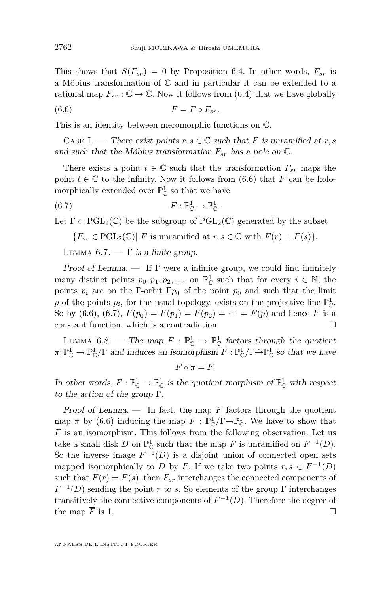<span id="page-30-0"></span>This shows that  $S(F_{sr}) = 0$  by Proposition [6.4.](#page-27-0) In other words,  $F_{sr}$  is a Möbius transformation of C and in particular it can be extended to a rational map  $F_{sr} : \mathbb{C} \to \mathbb{C}$ . Now it follows from [\(6.4\)](#page-29-0) that we have globally

$$
(6.6) \t\t\t F = F \circ F_{sr}.
$$

This is an identity between meromorphic functions on C.

CASE I. — There exist points  $r, s \in \mathbb{C}$  such that *F* is unramified at *r*, *s* and such that the Möbius transformation  $F_{sr}$  has a pole on  $\mathbb{C}$ .

There exists a point  $t \in \mathbb{C}$  such that the transformation  $F_{sr}$  maps the point  $t \in \mathbb{C}$  to the infinity. Now it follows from (6.6) that *F* can be holomorphically extended over  $\mathbb{P}^1_{\mathbb{C}}$  so that we have

(6.7) 
$$
F: \mathbb{P}_{\mathbb{C}}^1 \to \mathbb{P}_{\mathbb{C}}^1.
$$

Let  $\Gamma \subset \mathrm{PGL}_2(\mathbb{C})$  be the subgroup of  $\mathrm{PGL}_2(\mathbb{C})$  generated by the subset

 ${F_{sr} \in \text{PGL}_2(\mathbb{C}) | F \text{ is unramified at } r, s \in \mathbb{C} \text{ with } F(r) = F(s)}.$ 

LEMMA 6.7.  $-\Gamma$  is a finite group.

Proof of Lemma. — If  $\Gamma$  were a infinite group, we could find infinitely many distinct points  $p_0, p_1, p_2, \ldots$  on  $\mathbb{P}^1_{\mathbb{C}}$  such that for every  $i \in \mathbb{N}$ , the points  $p_i$  are on the Γ-orbit Γ $p_0$  of the point  $p_0$  and such that the limit p of the points  $p_i$ , for the usual topology, exists on the projective line  $\mathbb{P}^1_{\mathbb{C}}$ . So by (6.6), (6.7),  $F(p_0) = F(p_1) = F(p_2) = \cdots = F(p)$  and hence *F* is a constant function, which is a contradiction.  $\hfill \Box$ 

LEMMA 6.8. — The map  $F : \mathbb{P}^1_{\mathbb{C}} \to \mathbb{P}^1_{\mathbb{C}}$  factors through the quotient  $\pi; \mathbb{P}^1_{\mathbb{C}} \to \mathbb{P}^1_{\mathbb{C}}/\Gamma$  and induces an isomorphism  $\overline{F} : \mathbb{P}^1_{\mathbb{C}}/\Gamma \to \mathbb{P}^1_{\mathbb{C}}$  so that we have

$$
\overline{F}\circ \pi=F.
$$

In other words,  $F: \mathbb{P}^1_{\mathbb{C}} \to \mathbb{P}^1_{\mathbb{C}}$  is the quotient morphism of  $\mathbb{P}^1_{\mathbb{C}}$  with respect to the action of the group Γ.

Proof of Lemma.  $-$  In fact, the map  $F$  factors through the quotient map  $\pi$  by (6.6) inducing the map  $\overline{F}$  :  $\mathbb{P}_{\mathbb{C}}^1/\Gamma \rightarrow \mathbb{P}_{\mathbb{C}}^1$ . We have to show that *F* is an isomorphism. This follows from the following observation. Let us take a small disk *D* on  $\mathbb{P}^1_{\mathbb{C}}$  such that the map *F* is unramified on  $F^{-1}(D)$ . So the inverse image  $F^{-1}(D)$  is a disjoint union of connected open sets mapped isomorphically to *D* by *F*. If we take two points  $r, s \in F^{-1}(D)$ such that  $F(r) = F(s)$ , then  $F_{sr}$  interchanges the connected components of  $F^{-1}(D)$  sending the point *r* to *s*. So elements of the group Γ interchanges transitively the connective components of  $F^{-1}(D)$ . Therefore the degree of the map  $\overline{F}$  is 1.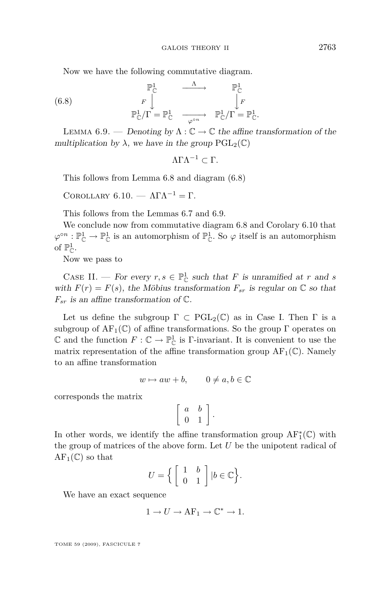<span id="page-31-0"></span>Now we have the following commutative diagram.

(6.8) 
$$
\begin{array}{ccc}\n\mathbb{P}^1_{\mathbb{C}} & \xrightarrow{\Lambda} & \mathbb{P}^1_{\mathbb{C}} \\
F \downarrow^{\mathbb{P}^1_{\mathbb{C}}}/\Gamma = \mathbb{P}^1_{\mathbb{C}} & \xrightarrow{\varphi \circ n} & \mathbb{P}^1_{\mathbb{C}}/\Gamma = \mathbb{P}^1_{\mathbb{C}}.\n\end{array}
$$

LEMMA 6.9. — Denoting by  $\Lambda : \mathbb{C} \to \mathbb{C}$  the affine transformation of the multiplication by  $\lambda$ , we have in the group  $PGL_2(\mathbb{C})$ 

$$
\Lambda \Gamma \Lambda^{-1} \subset \Gamma.
$$

This follows from Lemma [6.8](#page-30-0) and diagram (6.8)

Corollary 6.10. — ΛΓΛ*<sup>−</sup>*<sup>1</sup> = Γ.

This follows from the Lemmas [6.7](#page-30-0) and 6.9.

We conclude now from commutative diagram 6.8 and Corolary 6.10 that  $\varphi^{\circ n} : \mathbb{P}^1_{\mathbb{C}} \to \mathbb{P}^1_{\mathbb{C}}$  is an automorphism of  $\mathbb{P}^1_{\mathbb{C}}$ . So  $\varphi$  itself is an automorphism of  $\mathbb{P}^1_{\mathbb{C}}$ .

Now we pass to

CASE II. — For every  $r, s \in \mathbb{P}^1_{\mathbb{C}}$  such that *F* is unramified at *r* and *s* with  $F(r) = F(s)$ , the Möbius transformation  $F_{sr}$  is regular on  $\mathbb{C}$  so that  $F_{sr}$  is an affine transformation of  $\mathbb{C}$ .

Let us define the subgroup  $\Gamma \subset \text{PGL}_2(\mathbb{C})$  as in Case I. Then  $\Gamma$  is a subgroup of  $AF_1(\mathbb{C})$  of affine transformations. So the group  $\Gamma$  operates on C and the function  $F: \mathbb{C} \to \mathbb{P}^1_{\mathbb{C}}$  is Γ-invariant. It is convenient to use the matrix representation of the affine transformation group  $AF_1(\mathbb{C})$ . Namely to an affine transformation

$$
w \mapsto aw + b, \qquad 0 \neq a, b \in \mathbb{C}
$$

corresponds the matrix

$$
\left[\begin{array}{cc}a&b\\0&1\end{array}\right].
$$

In other words, we identify the affine transformation group  $\operatorname{AF}^*_1(\mathbb{C})$  with the group of matrices of the above form. Let *U* be the unipotent radical of  $AF_1(\mathbb{C})$  so that

$$
U = \left\{ \begin{bmatrix} 1 & b \\ 0 & 1 \end{bmatrix} \middle| b \in \mathbb{C} \right\}.
$$

We have an exact sequence

$$
1 \to U \to AF_1 \to \mathbb{C}^* \to 1.
$$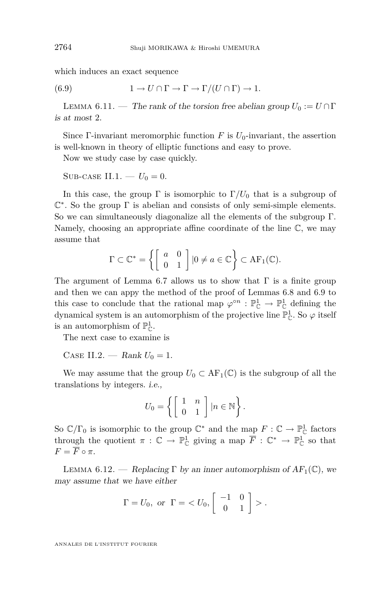<span id="page-32-0"></span>which induces an exact sequence

(6.9) 
$$
1 \to U \cap \Gamma \to \Gamma \to \Gamma/(U \cap \Gamma) \to 1.
$$

LEMMA 6.11. — The rank of the torsion free abelian group  $U_0 := U \cap \Gamma$ is at most 2.

Since Γ-invariant meromorphic function  $F$  is  $U_0$ -invariant, the assertion is well-known in theory of elliptic functions and easy to prove.

Now we study case by case quickly.

SUB-CASE II.1. —  $U_0 = 0$ .

In this case, the group  $\Gamma$  is isomorphic to  $\Gamma/U_0$  that is a subgroup of C *∗* . So the group Γ is abelian and consists of only semi-simple elements. So we can simultaneously diagonalize all the elements of the subgroup Γ. Namely, choosing an appropriate affine coordinate of the line C, we may assume that

$$
\Gamma \subset \mathbb{C}^* = \left\{ \left[ \begin{array}{cc} a & 0 \\ 0 & 1 \end{array} \right] \mid 0 \neq a \in \mathbb{C} \right\} \subset \text{AF}_1(\mathbb{C}).
$$

The argument of Lemma [6.7](#page-30-0) allows us to show that  $\Gamma$  is a finite group and then we can appy the method of the proof of Lemmas [6.8](#page-30-0) and [6.9](#page-31-0) to this case to conclude that the rational map  $\varphi^{\circ n} : \mathbb{P}^1_{\mathbb{C}} \to \mathbb{P}^1_{\mathbb{C}}$  defining the dynamical system is an automorphism of the projective line  $\mathbb{P}^1_{\mathbb{C}}$ . So  $\varphi$  itself is an automorphism of  $\mathbb{P}^1_{\mathbb{C}}$ .

The next case to examine is

CASE II.2. — Rank  $U_0 = 1$ .

We may assume that the group  $U_0 \subset AF_1(\mathbb{C})$  is the subgroup of all the translations by integers. i.e.,

$$
U_0 = \left\{ \left[ \begin{array}{cc} 1 & n \\ 0 & 1 \end{array} \right] | n \in \mathbb{N} \right\}.
$$

So  $\mathbb{C}/\Gamma_0$  is isomorphic to the group  $\mathbb{C}^*$  and the map  $F: \mathbb{C} \to \mathbb{P}^1_{\mathbb{C}}$  factors through the quotient  $\pi : \mathbb{C} \to \mathbb{P}^1_{\mathbb{C}}$  giving a map  $\overline{F} : \mathbb{C}^* \to \mathbb{P}^1_{\mathbb{C}}$  so that  $F = \overline{F} \circ \pi$ .

LEMMA 6.12. — Replacing  $\Gamma$  by an inner automorphism of  $AF_1(\mathbb{C})$ , we may assume that we have either

$$
\Gamma = U_0, \text{ or } \Gamma = \langle U_0, \begin{bmatrix} -1 & 0 \\ 0 & 1 \end{bmatrix} \rangle.
$$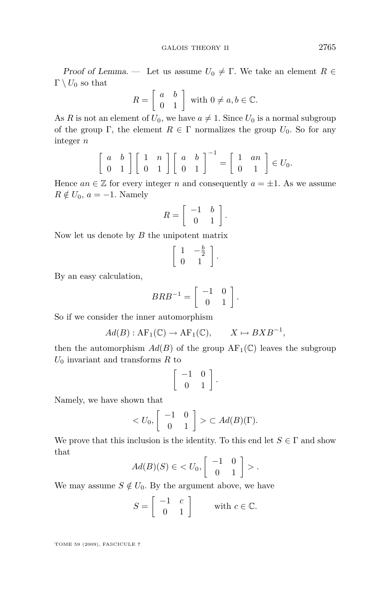Proof of Lemma. — Let us assume  $U_0 \neq \Gamma$ . We take an element  $R \in$  $\Gamma \setminus U_0$  so that

$$
R = \left[ \begin{array}{cc} a & b \\ 0 & 1 \end{array} \right] \text{ with } 0 \neq a, b \in \mathbb{C}.
$$

As *R* is not an element of  $U_0$ , we have  $a \neq 1$ . Since  $U_0$  is a normal subgroup of the group Γ, the element  $R \in \Gamma$  normalizes the group  $U_0$ . So for any integer *n*

$$
\left[\begin{array}{cc} a & b \\ 0 & 1 \end{array}\right] \left[\begin{array}{cc} 1 & n \\ 0 & 1 \end{array}\right] \left[\begin{array}{cc} a & b \\ 0 & 1 \end{array}\right]^{-1} = \left[\begin{array}{cc} 1 & an \\ 0 & 1 \end{array}\right] \in U_0.
$$

Hence  $an \in \mathbb{Z}$  for every integer *n* and consequently  $a = \pm 1$ . As we assume  $R \notin U_0$ ,  $a = -1$ . Namely

$$
R = \left[ \begin{array}{cc} -1 & b \\ 0 & 1 \end{array} \right].
$$

Now let us denote by *B* the unipotent matrix

$$
\left[\begin{array}{cc} 1 & -\frac{b}{2} \\ 0 & 1 \end{array}\right].
$$

By an easy calculation,

$$
BRB^{-1} = \left[ \begin{array}{cc} -1 & 0 \\ 0 & 1 \end{array} \right].
$$

So if we consider the inner automorphism

$$
Ad(B): \mathrm{AF}_1(\mathbb{C}) \to \mathrm{AF}_1(\mathbb{C}), \qquad X \mapsto BXB^{-1},
$$

then the automorphism  $Ad(B)$  of the group  $AF_1(\mathbb{C})$  leaves the subgroup *U*<sup>0</sup> invariant and transforms *R* to

$$
\left[\begin{array}{cc} -1 & 0 \\ 0 & 1 \end{array}\right].
$$

Namely, we have shown that

$$
\langle U_0, \begin{bmatrix} -1 & 0 \\ 0 & 1 \end{bmatrix} \rangle \subset Ad(B)(\Gamma).
$$

We prove that this inclusion is the identity. To this end let  $S \in \Gamma$  and show that

$$
Ad(B)(S) \in \langle U_0, \begin{bmatrix} -1 & 0 \\ 0 & 1 \end{bmatrix} \rangle.
$$

We may assume  $S \notin U_0$ . By the argument above, we have

$$
S = \left[ \begin{array}{cc} -1 & c \\ 0 & 1 \end{array} \right] \qquad \text{with } c \in \mathbb{C}.
$$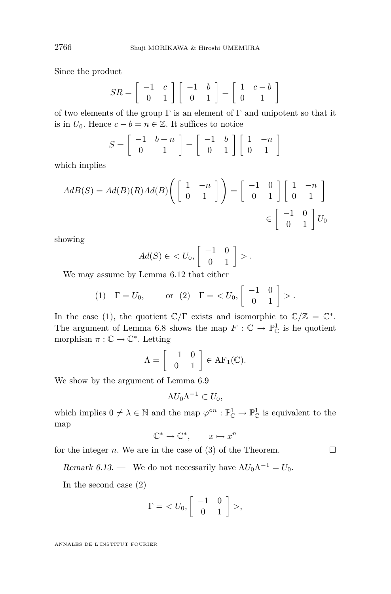Since the product

$$
SR = \left[ \begin{array}{cc} -1 & c \\ 0 & 1 \end{array} \right] \left[ \begin{array}{cc} -1 & b \\ 0 & 1 \end{array} \right] = \left[ \begin{array}{cc} 1 & c - b \\ 0 & 1 \end{array} \right]
$$

of two elements of the group  $\Gamma$  is an element of  $\Gamma$  and unipotent so that it is in  $U_0$ . Hence  $c - b = n \in \mathbb{Z}$ . It suffices to notice

$$
S = \left[ \begin{array}{cc} -1 & b+n \\ 0 & 1 \end{array} \right] = \left[ \begin{array}{cc} -1 & b \\ 0 & 1 \end{array} \right] \left[ \begin{array}{cc} 1 & -n \\ 0 & 1 \end{array} \right]
$$

which implies

$$
AdB(S) = Ad(B)(R)Ad(B)\left(\begin{bmatrix} 1 & -n \\ 0 & 1 \end{bmatrix}\right) = \begin{bmatrix} -1 & 0 \\ 0 & 1 \end{bmatrix} \begin{bmatrix} 1 & -n \\ 0 & 1 \end{bmatrix}
$$

$$
\in \begin{bmatrix} -1 & 0 \\ 0 & 1 \end{bmatrix} U_0
$$

showing

$$
Ad(S) \in \langle U_0, \begin{bmatrix} -1 & 0 \\ 0 & 1 \end{bmatrix} \rangle.
$$

We may assume by Lemma [6.12](#page-32-0) that either

$$
(1) \quad \Gamma = U_0, \qquad \text{or} \quad (2) \quad \Gamma = \langle U_0, \begin{bmatrix} -1 & 0 \\ 0 & 1 \end{bmatrix} \rangle.
$$

In the case (1), the quotient  $\mathbb{C}/\Gamma$  exists and isomorphic to  $\mathbb{C}/\mathbb{Z} = \mathbb{C}^*$ . The argument of Lemma [6.8](#page-30-0) shows the map  $F: \mathbb{C} \to \mathbb{P}^1_{\mathbb{C}}$  is he quotient morphism  $\pi : \mathbb{C} \to \mathbb{C}^*$ . Letting

$$
\Lambda = \left[ \begin{array}{cc} -1 & 0 \\ 0 & 1 \end{array} \right] \in AF_1(\mathbb{C}).
$$

We show by the argument of Lemma [6.9](#page-31-0)

$$
\Lambda U_0 \Lambda^{-1} \subset U_0,
$$

which implies  $0 \neq \lambda \in \mathbb{N}$  and the map  $\varphi^{\circ n} : \mathbb{P}_{\mathbb{C}}^1 \to \mathbb{P}_{\mathbb{C}}^1$  is equivalent to the map

$$
\mathbb{C}^* \to \mathbb{C}^*, \qquad x \mapsto x^n
$$

for the integer *n*. We are in the case of (3) of the Theorem.  $\Box$ 

Remark 6.13. — We do not necessarily have  $\Lambda U_0 \Lambda^{-1} = U_0$ .

In the second case (2)

$$
\Gamma = \langle U_0, \begin{bmatrix} -1 & 0 \\ 0 & 1 \end{bmatrix} \rangle,
$$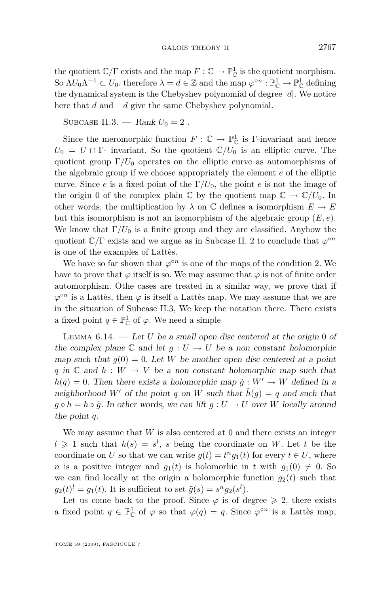<span id="page-35-0"></span>the quotient  $\mathbb{C}/\Gamma$  exists and the map  $F: \mathbb{C} \to \mathbb{P}^1_{\mathbb{C}}$  is the quotient morphism. So  $\Lambda U_0 \Lambda^{-1} \subset U_0$ , therefore  $\lambda = d \in \mathbb{Z}$  and the map  $\varphi^{\circ n} : \mathbb{P}^1_{\mathbb{C}} \to \mathbb{P}^1_{\mathbb{C}}$  defining the dynamical system is the Chebyshev polynomial of degree *|d|*. We notice here that *d* and *−d* give the same Chebyshev polynomial.

SUBCASE II.3. — Rank  $U_0 = 2$ .

Since the meromorphic function  $F: \mathbb{C} \to \mathbb{P}^1_{\mathbb{C}}$  is Γ-invariant and hence  $U_0 = U \cap \Gamma$ - invariant. So the quotient  $\mathbb{C}/U_0$  is an elliptic curve. The quotient group  $\Gamma/U_0$  operates on the elliptic curve as automorphisms of the algebraic group if we choose appropriately the element *e* of the elliptic curve. Since *e* is a fixed point of the  $\Gamma/U_0$ , the point *e* is not the image of the origin 0 of the complex plain  $\mathbb{C}$  by the quotient map  $\mathbb{C} \to \mathbb{C}/U_0$ . In other words, the multiplication by  $\lambda$  on  $\mathbb C$  defines a isomorphism  $E \to E$ but this isomorphism is not an isomorphism of the algebraic group (*E, e*). We know that  $\Gamma/U_0$  is a finite group and they are classified. Anyhow the quotient C*/*Γ exists and we argue as in Subcase II. 2 to conclude that *ϕ ◦n* is one of the examples of Lattès.

We have so far shown that  $\varphi^{\circ n}$  is one of the maps of the condition 2. We have to prove that  $\varphi$  itself is so. We may assume that  $\varphi$  is not of finite order automorphism. Othe cases are treated in a similar way, we prove that if  $\varphi$ <sup>on</sup> is a Lattès, then  $\varphi$  is itself a Lattès map. We may assume that we are in the situation of Subcase II.3, We keep the notation there. There exists a fixed point  $q \in \mathbb{P}^1_{\mathbb{C}}$  of  $\varphi$ . We need a simple

LEMMA  $6.14.$  — Let *U* be a small open disc centered at the origin 0 of the complex plane  $\mathbb C$  and let  $g: U \to U$  be a non constant holomorphic map such that  $g(0) = 0$ . Let *W* be another open disc centered at a point *q* in  $\mathbb C$  and  $h : W \to V$  be a non constant holomorphic map such that  $h(q) = 0$ . Then there exists a holomorphic map  $\tilde{q}: W' \to W$  defined in a neighborhood W' of the point *q* on *W* such that  $\hat{h}(g) = q$  and such that *g*  $\diamond$  *h* = *h*  $\diamond$   $\tilde{g}$ . In other words, we can lift *g* : *U* → *U* over *W* locally around the point *q*.

We may assume that *W* is also centered at 0 and there exists an integer  $l \geq 1$  such that  $h(s) = s^l$ , *s* being the coordinate on *W*. Let *t* be the coordinate on *U* so that we can write  $g(t) = t^n g_1(t)$  for every  $t \in U$ , where *n* is a positive integer and  $g_1(t)$  is holomorhic in *t* with  $g_1(0) \neq 0$ . So we can find locally at the origin a holomorphic function  $g_2(t)$  such that  $g_2(t)^l = g_1(t)$ . It is sufficient to set  $\tilde{g}(s) = s^n g_2(s^l)$ .

Let us come back to the proof. Since  $\varphi$  is of degree  $\geq 2$ , there exists a fixed point  $q \in \mathbb{P}_{\mathbb{C}}^1$  of  $\varphi$  so that  $\varphi(q) = q$ . Since  $\varphi^{\circ n}$  is a Lattès map,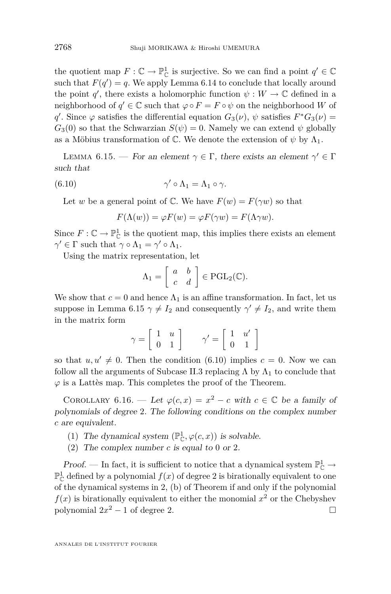the quotient map  $F: \mathbb{C} \to \mathbb{P}^1_{\mathbb{C}}$  is surjective. So we can find a point  $q' \in \mathbb{C}$ such that  $F(q') = q$ . We apply Lemma [6.14](#page-35-0) to conclude that locally around the point *q*<sup>'</sup>, there exists a holomorphic function  $\psi : W \to \mathbb{C}$  defined in a neighborhood of  $q' \in \mathbb{C}$  such that  $\varphi \circ F = F \circ \psi$  on the neighborhood *W* of *q*. Since  $\varphi$  satisfies the differential equation  $G_3(\nu)$ ,  $\psi$  satisfies  $F^*G_3(\nu)$  =  $G_3(0)$  so that the Schwarzian  $S(\psi) = 0$ . Namely we can extend  $\psi$  globally as a Möbius transformation of  $\mathbb C$ . We denote the extension of  $\psi$  by  $\Lambda_1$ .

LEMMA 6.15. — For an element  $\gamma \in \Gamma$ , there exists an element  $\gamma' \in \Gamma$ such that

(6.10) 
$$
\gamma' \circ \Lambda_1 = \Lambda_1 \circ \gamma.
$$

Let *w* be a general point of C. We have  $F(w) = F(\gamma w)$  so that

$$
F(\Lambda(w)) = \varphi F(w) = \varphi F(\gamma w) = F(\Lambda \gamma w).
$$

Since  $F: \mathbb{C} \to \mathbb{P}^1_{\mathbb{C}}$  is the quotient map, this implies there exists an element  $\gamma' \in \Gamma$  such that  $\gamma \circ \Lambda_1 = \gamma' \circ \Lambda_1$ .

Using the matrix representation, let

$$
\Lambda_1 = \left[ \begin{array}{cc} a & b \\ c & d \end{array} \right] \in \mathrm{PGL}_2(\mathbb{C}).
$$

We show that  $c = 0$  and hence  $\Lambda_1$  is an affine transformation. In fact, let us suppose in Lemma 6.15  $\gamma \neq I_2$  and consequently  $\gamma' \neq I_2$ , and write them in the matrix form

$$
\gamma = \left[ \begin{array}{cc} 1 & u \\ 0 & 1 \end{array} \right] \qquad \gamma' = \left[ \begin{array}{cc} 1 & u' \\ 0 & 1 \end{array} \right]
$$

so that  $u, u' \neq 0$ . Then the condition (6.10) implies  $c = 0$ . Now we can follow all the arguments of Subcase II.3 replacing  $\Lambda$  by  $\Lambda_1$  to conclude that  $\varphi$  is a Lattès map. This completes the proof of the Theorem.

COROLLARY 6.16. — Let  $\varphi(c, x) = x^2 - c$  with  $c \in \mathbb{C}$  be a family of polynomials of degree 2. The following conditions on the complex number *c* are equivalent.

- (1) The dynamical system  $(\mathbb{P}^1_{\mathbb{C}}, \varphi(c, x))$  is solvable.
- (2) The complex number *c* is equal to 0 or 2.

Proof. — In fact, it is sufficient to notice that a dynamical system  $\mathbb{P}^1_{\mathbb{C}} \to$  $\mathbb{P}^1_{\mathbb{C}}$  defined by a polynomial  $f(x)$  of degree 2 is birationally equivalent to one of the dynamical systems in 2, (b) of Theorem if and only if the polynomial  $f(x)$  is birationally equivalent to either the monomial  $x^2$  or the Chebyshev polynomial  $2x^2 - 1$  of degree 2.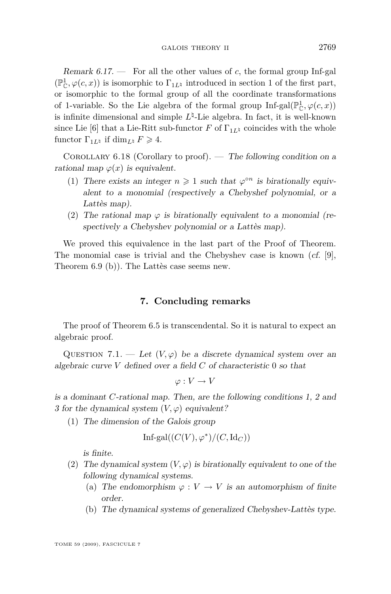Remark 6.17. — For all the other values of *c*, the formal group Inf-gal  $(\mathbb{P}^1_{\mathbb{C}}, \varphi(c, x))$  $(\mathbb{P}^1_{\mathbb{C}}, \varphi(c, x))$  $(\mathbb{P}^1_{\mathbb{C}}, \varphi(c, x))$  is isomorphic to  $\Gamma_{1L^{\natural}}$  introduced in section 1 of the first part, or isomorphic to the formal group of all the coordinate transformations of 1-variable. So the Lie algebra of the formal group  $\text{Inf-gal}(\mathbb{P}^1_{\mathbb{C}}, \varphi(c, x))$ is infinite dimensional and simple  $L^{\natural}$ -Lie algebra. In fact, it is well-known since Lie [\[6\]](#page-38-0) that a Lie-Ritt sub-functor *F* of  $\Gamma_{1L\sharp}$  coincides with the whole functor  $\Gamma_{1L^{\natural}}$  if dim<sub>*L*<sup>|</sup></sub>  $F \geq 4$ .

COROLLARY 6.18 (Corollary to proof). — The following condition on a rational map  $\varphi(x)$  is equivalent.

- (1) There exists an integer  $n \geq 1$  such that  $\varphi^{\circ n}$  is birationally equivalent to a monomial (respectively a Chebyshef polynomial, or a Lattès map).
- (2) The rational map  $\varphi$  is birationally equivalent to a monomial (respectively a Chebyshev polynomial or a Lattès map).

We proved this equivalence in the last part of the Proof of Theorem. The monomial case is trivial and the Chebyshev case is known  $(cf. [9],$  $(cf. [9],$  $(cf. [9],$ Theorem 6.9 (b)). The Lattès case seems new.

#### **7. Concluding remarks**

The proof of Theorem [6.5](#page-27-0) is transcendental. So it is natural to expect an algebraic proof.

QUESTION 7.1. — Let  $(V, \varphi)$  be a discrete dynamical system over an algebraic curve *V* defined over a field *C* of characteristic 0 so that

$$
\varphi: V \to V
$$

is a dominant *C*-rational map. Then, are the following conditions 1, 2 and 3 for the dynamical system  $(V, \varphi)$  equivalent?

(1) The dimension of the Galois group

$$
\mathrm{Inf}\text{-}\mathrm{gal}((C(V),\varphi^*)/(C,\mathrm{Id}_C))
$$

is finite.

- (2) The dynamical system  $(V, \varphi)$  is birationally equivalent to one of the following dynamical systems.
	- (a) The endomorphism  $\varphi : V \to V$  is an automorphism of finite order.
	- (b) The dynamical systems of generalized Chebyshev-Lattès type.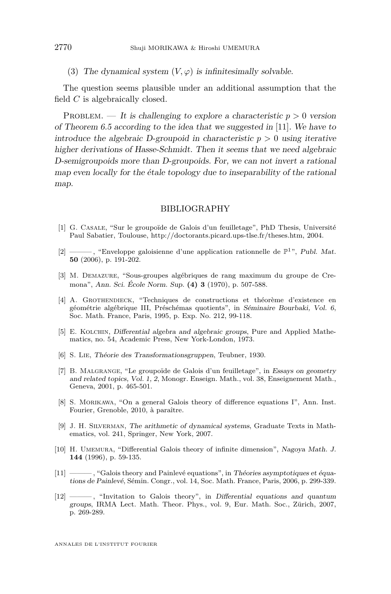<span id="page-38-0"></span>(3) The dynamical system  $(V, \varphi)$  is infinitesimally solvable.

The question seems plausible under an additional assumption that the field *C* is algebraically closed.

PROBLEM. — It is challenging to explore a characteristic  $p > 0$  version of Theorem [6.5](#page-27-0) according to the idea that we suggested in [11]. We have to introduce the algebraic D-groupoid in characteristic  $p > 0$  using iterative higher derivations of Hasse-Schmidt. Then it seems that we need algebraic D-semigroupoids more than D-groupoids. For, we can not invert a rational map even locally for the étale topology due to inseparability of the rational map.

#### BIBLIOGRAPHY

- [1] G. Casale, "Sur le groupoïde de Galois d'un feuilletage", PhD Thesis, Université Paul Sabatier, Toulouse, http://doctorants.picard.ups-tlse.fr/theses.htm, 2004.
- [2] ——, "Enveloppe galoisienne d'une application rationnelle de  $\mathbb{P}^1$ ", Publ. Mat. **50** (2006), p. 191-202.
- [3] M. Demazure, "Sous-groupes algébriques de rang maximum du groupe de Cremona", Ann. Sci. École Norm. Sup. **(4) 3** (1970), p. 507-588.
- [4] A. Grothendieck, "Techniques de constructions et théorème d'existence en géométrie algébrique III, Préschémas quotients", in Séminaire Bourbaki, Vol. 6, Soc. Math. France, Paris, 1995, p. Exp. No. 212, 99-118.
- [5] E. KOLCHIN, Differential algebra and algebraic groups, Pure and Applied Mathematics, no. 54, Academic Press, New York-London, 1973.
- [6] S. Lie, Théorie des Transformationsgruppen, Teubner, 1930.
- [7] B. Malgrange, "Le groupoïde de Galois d'un feuilletage", in Essays on geometry and related topics, Vol. 1, 2, Monogr. Enseign. Math., vol. 38, Enseignement Math., Geneva, 2001, p. 465-501.
- [8] S. Morikawa, "On a general Galois theory of difference equations I", Ann. Inst. Fourier, Grenoble, 2010, à paraître.
- [9] J. H. Silverman, The arithmetic of dynamical systems, Graduate Texts in Mathematics, vol. 241, Springer, New York, 2007.
- [10] H. Umemura, "Differential Galois theory of infinite dimension", Nagoya Math. J. **144** (1996), p. 59-135.
- [11] ——— , "Galois theory and Painlevé equations", in Théories asymptotiques et équations de Painlevé, Sémin. Congr., vol. 14, Soc. Math. France, Paris, 2006, p. 299-339.
- [12] ——— , "Invitation to Galois theory", in Differential equations and quantum groups, IRMA Lect. Math. Theor. Phys., vol. 9, Eur. Math. Soc., Zürich, 2007, p. 269-289.